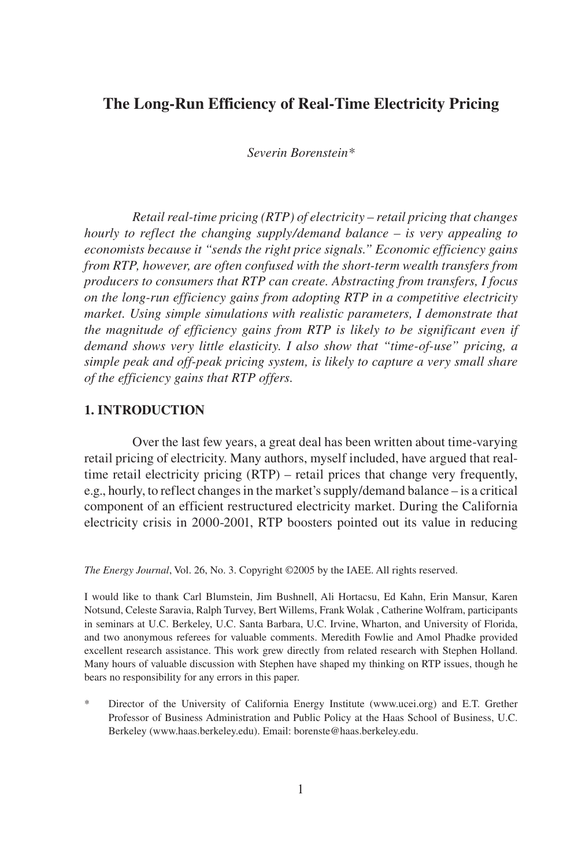# **The Long-Run Efficiency of Real-Time Electricity Pricing**

*Severin Borenstein\**

*Retail real-time pricing (RTP) of electricity – retail pricing that changes hourly to reflect the changing supply/demand balance – is very appealing to economists because it "sends the right price signals." Economic efficiency gains from RTP, however, are often confused with the short-term wealth transfers from producers to consumers that RTP can create. Abstracting from transfers, I focus on the long-run efficiency gains from adopting RTP in a competitive electricity market. Using simple simulations with realistic parameters, I demonstrate that the magnitude of efficiency gains from RTP is likely to be significant even if demand shows very little elasticity. I also show that "time-of-use" pricing, a simple peak and off-peak pricing system, is likely to capture a very small share of the efficiency gains that RTP offers.* 

#### **1. INTRODUCTION**

Over the last few years, a great deal has been written about time-varying retail pricing of electricity. Many authors, myself included, have argued that realtime retail electricity pricing (RTP) – retail prices that change very frequently, e.g., hourly, to reflect changes in the market's supply/demand balance – is a critical component of an efficient restructured electricity market. During the California electricity crisis in 2000-2001, RTP boosters pointed out its value in reducing

*The Energy Journal*, Vol. 26, No. 3. Copyright ©2005 by the IAEE. All rights reserved.

I would like to thank Carl Blumstein, Jim Bushnell, Ali Hortacsu, Ed Kahn, Erin Mansur, Karen Notsund, Celeste Saravia, Ralph Turvey, Bert Willems, Frank Wolak , Catherine Wolfram, participants in seminars at U.C. Berkeley, U.C. Santa Barbara, U.C. Irvine, Wharton, and University of Florida, and two anonymous referees for valuable comments. Meredith Fowlie and Amol Phadke provided excellent research assistance. This work grew directly from related research with Stephen Holland. Many hours of valuable discussion with Stephen have shaped my thinking on RTP issues, though he bears no responsibility for any errors in this paper.

\* Director of the University of California Energy Institute (www.ucei.org) and E.T. Grether Professor of Business Administration and Public Policy at the Haas School of Business, U.C. Berkeley (www.haas.berkeley.edu). Email: borenste@haas.berkeley.edu.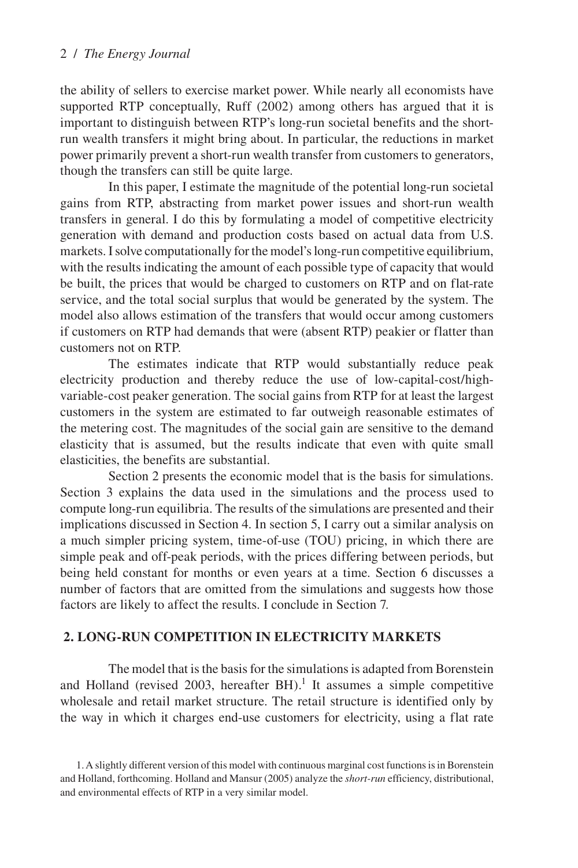the ability of sellers to exercise market power. While nearly all economists have supported RTP conceptually, Ruff (2002) among others has argued that it is important to distinguish between RTP's long-run societal benefits and the shortrun wealth transfers it might bring about. In particular, the reductions in market power primarily prevent a short-run wealth transfer from customers to generators, though the transfers can still be quite large.

In this paper, I estimate the magnitude of the potential long-run societal gains from RTP, abstracting from market power issues and short-run wealth transfers in general. I do this by formulating a model of competitive electricity generation with demand and production costs based on actual data from U.S. markets. I solve computationally for the model's long-run competitive equilibrium, with the results indicating the amount of each possible type of capacity that would be built, the prices that would be charged to customers on RTP and on flat-rate service, and the total social surplus that would be generated by the system. The model also allows estimation of the transfers that would occur among customers if customers on RTP had demands that were (absent RTP) peakier or flatter than customers not on RTP.

The estimates indicate that RTP would substantially reduce peak electricity production and thereby reduce the use of low-capital-cost/highvariable-cost peaker generation. The social gains from RTP for at least the largest customers in the system are estimated to far outweigh reasonable estimates of the metering cost. The magnitudes of the social gain are sensitive to the demand elasticity that is assumed, but the results indicate that even with quite small elasticities, the benefits are substantial.

Section 2 presents the economic model that is the basis for simulations. Section 3 explains the data used in the simulations and the process used to compute long-run equilibria. The results of the simulations are presented and their implications discussed in Section 4. In section 5, I carry out a similar analysis on a much simpler pricing system, time-of-use (TOU) pricing, in which there are simple peak and off-peak periods, with the prices differing between periods, but being held constant for months or even years at a time. Section 6 discusses a number of factors that are omitted from the simulations and suggests how those factors are likely to affect the results. I conclude in Section 7.

# **2. LONG-RUN COMPETITION IN ELECTRICITY MARKETS**

The model that is the basis for the simulations is adapted from Borenstein and Holland (revised 2003, hereafter  $BH$ ).<sup>1</sup> It assumes a simple competitive wholesale and retail market structure. The retail structure is identified only by the way in which it charges end-use customers for electricity, using a flat rate

<sup>1.</sup> A slightly different version of this model with continuous marginal cost functions is in Borenstein and Holland, forthcoming. Holland and Mansur (2005) analyze the *short-run* efficiency, distributional, and environmental effects of RTP in a very similar model.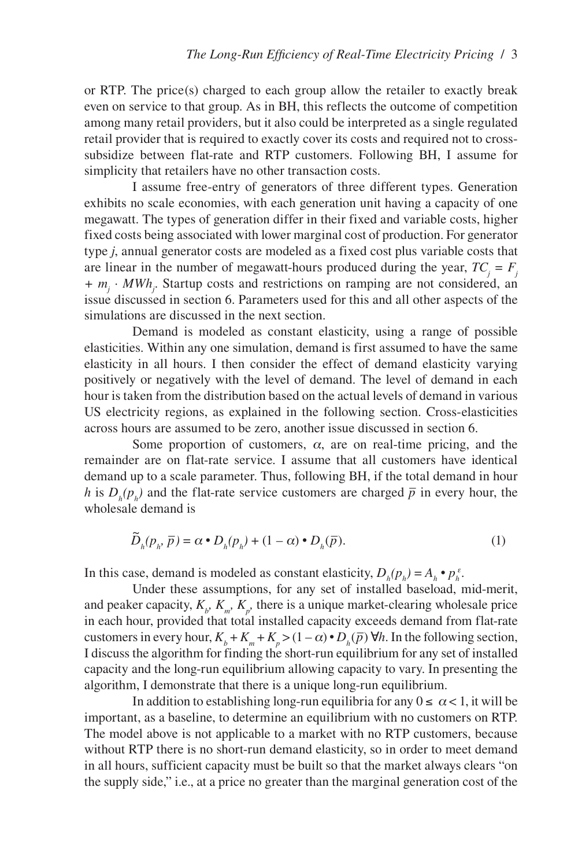or RTP. The price(s) charged to each group allow the retailer to exactly break even on service to that group. As in BH, this reflects the outcome of competition among many retail providers, but it also could be interpreted as a single regulated retail provider that is required to exactly cover its costs and required not to crosssubsidize between flat-rate and RTP customers. Following BH, I assume for simplicity that retailers have no other transaction costs.

I assume free-entry of generators of three different types. Generation exhibits no scale economies, with each generation unit having a capacity of one megawatt. The types of generation differ in their fixed and variable costs, higher fixed costs being associated with lower marginal cost of production. For generator type *j*, annual generator costs are modeled as a fixed cost plus variable costs that are linear in the number of megawatt-hours produced during the year,  $TC_j = F_j$ *+ m<sub>j</sub>*  $\cdot$  *MWh<sub>j</sub>*. Startup costs and restrictions on ramping are not considered, an issue discussed in section 6. Parameters used for this and all other aspects of the simulations are discussed in the next section.

Demand is modeled as constant elasticity, using a range of possible elasticities. Within any one simulation, demand is first assumed to have the same elasticity in all hours. I then consider the effect of demand elasticity varying positively or negatively with the level of demand. The level of demand in each hour is taken from the distribution based on the actual levels of demand in various US electricity regions, as explained in the following section. Cross-elasticities across hours are assumed to be zero, another issue discussed in section 6.

Some proportion of customers,  $\alpha$ , are on real-time pricing, and the remainder are on flat-rate service. I assume that all customers have identical demand up to a scale parameter. Thus, following BH, if the total demand in hour *h* is  $D_h(p_h)$  and the flat-rate service customers are charged  $\bar{p}$  in every hour, the wholesale demand is

$$
\widetilde{D}_h(p_h, \overline{p}) = \alpha \cdot D_h(p_h) + (1 - \alpha) \cdot D_h(\overline{p}).
$$
\n(1)

In this case, demand is modeled as constant elasticity,  $D_h(p_h) = A_h \cdot p_h^{\varepsilon}$ .

Under these assumptions, for any set of installed baseload, mid-merit, and peaker capacity,  $K_{\mu}$ ,  $K_{m}$ ,  $K_{p}$ , there is a unique market-clearing wholesale price in each hour, provided that total installed capacity exceeds demand from flat-rate customers in every hour,  $K_b + K_m + K_p > (1 - \alpha) \cdot D_h(\overline{p}) \forall h$ . In the following section, I discuss the algorithm for finding the short-run equilibrium for any set of installed capacity and the long-run equilibrium allowing capacity to vary. In presenting the algorithm, I demonstrate that there is a unique long-run equilibrium.

In addition to establishing long-run equilibria for any  $0 \le \alpha < 1$ , it will be important, as a baseline, to determine an equilibrium with no customers on RTP. The model above is not applicable to a market with no RTP customers, because without RTP there is no short-run demand elasticity, so in order to meet demand in all hours, sufficient capacity must be built so that the market always clears "on the supply side," i.e., at a price no greater than the marginal generation cost of the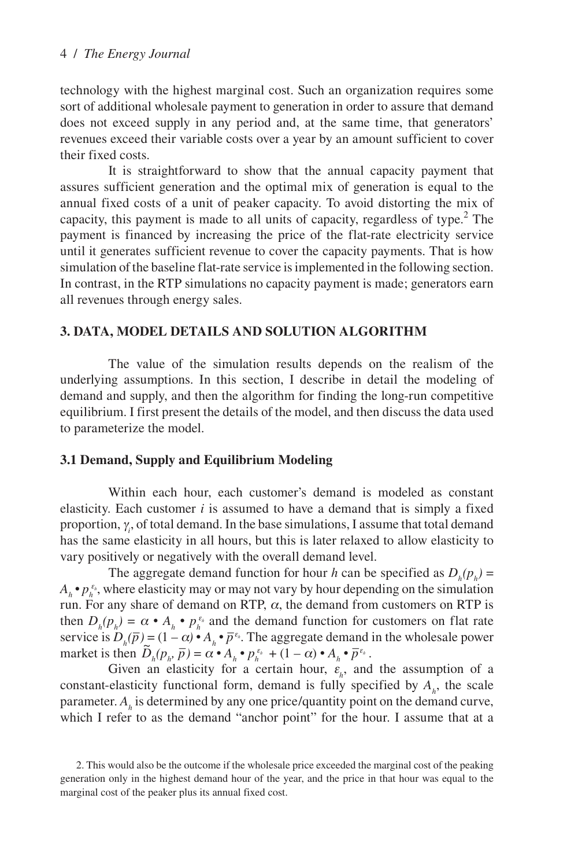technology with the highest marginal cost. Such an organization requires some sort of additional wholesale payment to generation in order to assure that demand does not exceed supply in any period and, at the same time, that generators' revenues exceed their variable costs over a year by an amount sufficient to cover their fixed costs.

It is straightforward to show that the annual capacity payment that assures sufficient generation and the optimal mix of generation is equal to the annual fixed costs of a unit of peaker capacity. To avoid distorting the mix of capacity, this payment is made to all units of capacity, regardless of type. $<sup>2</sup>$  The</sup> payment is financed by increasing the price of the flat-rate electricity service until it generates sufficient revenue to cover the capacity payments. That is how simulation of the baseline flat-rate service is implemented in the following section. In contrast, in the RTP simulations no capacity payment is made; generators earn all revenues through energy sales.

## **3. DATA, MODEL DETAILS AND SOLUTION ALGORITHM**

The value of the simulation results depends on the realism of the underlying assumptions. In this section, I describe in detail the modeling of demand and supply, and then the algorithm for finding the long-run competitive equilibrium. I first present the details of the model, and then discuss the data used to parameterize the model.

## **3.1 Demand, Supply and Equilibrium Modeling**

Within each hour, each customer's demand is modeled as constant elasticity. Each customer  $i$  is assumed to have a demand that is simply a fixed proportion, <sup>γ</sup>*<sup>i</sup>* , of total demand. In the base simulations, I assume that total demand has the same elasticity in all hours, but this is later relaxed to allow elasticity to vary positively or negatively with the overall demand level.

The aggregate demand function for hour *h* can be specified as  $D_h(p_h)$  =  $A_h \cdot p_h^{\varepsilon_h}$ , where elasticity may or may not vary by hour depending on the simulation run. For any share of demand on RTP,  $\alpha$ , the demand from customers on RTP is then  $D_h(p_h) = \alpha \cdot A_h \cdot p_h^{\varepsilon_h}$  and the demand function for customers on flat rate service is  $D_h(\overline{p}) = (1 - \alpha) \cdot A_h \cdot \overline{p}^{\varepsilon_h}$ . The aggregate demand in the wholesale power market is then  $\tilde{D}_h(p_h, \bar{p}) = \alpha \cdot A_h \cdot p_h^{\epsilon_h} + (1 - \alpha) \cdot A_h \cdot \bar{p}_h^{\epsilon_h}$ .

Given an elasticity for a certain hour,  $\varepsilon$ <sub>h</sub>, and the assumption of a constant-elasticity functional form, demand is fully specified by  $A<sub>h</sub>$ , the scale parameter. *Ah* is determined by any one price/quantity point on the demand curve, which I refer to as the demand "anchor point" for the hour. I assume that at a

<sup>2.</sup> This would also be the outcome if the wholesale price exceeded the marginal cost of the peaking generation only in the highest demand hour of the year, and the price in that hour was equal to the marginal cost of the peaker plus its annual fixed cost.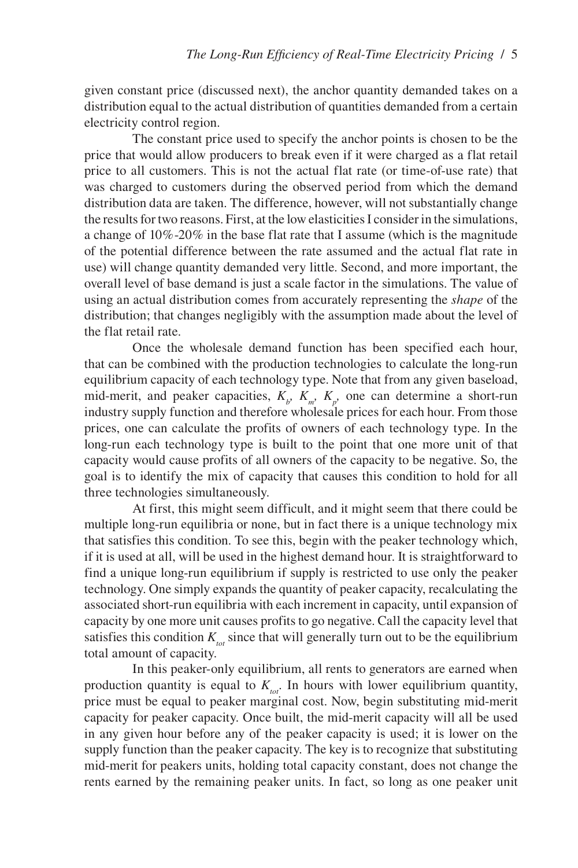given constant price (discussed next), the anchor quantity demanded takes on a distribution equal to the actual distribution of quantities demanded from a certain electricity control region.

The constant price used to specify the anchor points is chosen to be the price that would allow producers to break even if it were charged as a flat retail price to all customers. This is not the actual flat rate (or time-of-use rate) that was charged to customers during the observed period from which the demand distribution data are taken. The difference, however, will not substantially change the results for two reasons. First, at the low elasticities I consider in the simulations, a change of 10%-20% in the base flat rate that I assume (which is the magnitude of the potential difference between the rate assumed and the actual flat rate in use) will change quantity demanded very little. Second, and more important, the overall level of base demand is just a scale factor in the simulations. The value of using an actual distribution comes from accurately representing the *shape* of the distribution; that changes negligibly with the assumption made about the level of the flat retail rate.

Once the wholesale demand function has been specified each hour, that can be combined with the production technologies to calculate the long-run equilibrium capacity of each technology type. Note that from any given baseload, mid-merit, and peaker capacities,  $K_{b}$ ,  $K_{m}$ ,  $K_{p}$ , one can determine a short-run industry supply function and therefore wholesale prices for each hour. From those prices, one can calculate the profits of owners of each technology type. In the long-run each technology type is built to the point that one more unit of that capacity would cause profits of all owners of the capacity to be negative. So, the goal is to identify the mix of capacity that causes this condition to hold for all three technologies simultaneously.

At first, this might seem difficult, and it might seem that there could be multiple long-run equilibria or none, but in fact there is a unique technology mix that satisfies this condition. To see this, begin with the peaker technology which, if it is used at all, will be used in the highest demand hour. It is straightforward to find a unique long-run equilibrium if supply is restricted to use only the peaker technology. One simply expands the quantity of peaker capacity, recalculating the associated short-run equilibria with each increment in capacity, until expansion of capacity by one more unit causes profits to go negative. Call the capacity level that satisfies this condition  $K_{tot}$  since that will generally turn out to be the equilibrium total amount of capacity.

In this peaker-only equilibrium, all rents to generators are earned when production quantity is equal to  $K_{tot}$ . In hours with lower equilibrium quantity, price must be equal to peaker marginal cost. Now, begin substituting mid-merit capacity for peaker capacity. Once built, the mid-merit capacity will all be used in any given hour before any of the peaker capacity is used; it is lower on the supply function than the peaker capacity. The key is to recognize that substituting mid-merit for peakers units, holding total capacity constant, does not change the rents earned by the remaining peaker units. In fact, so long as one peaker unit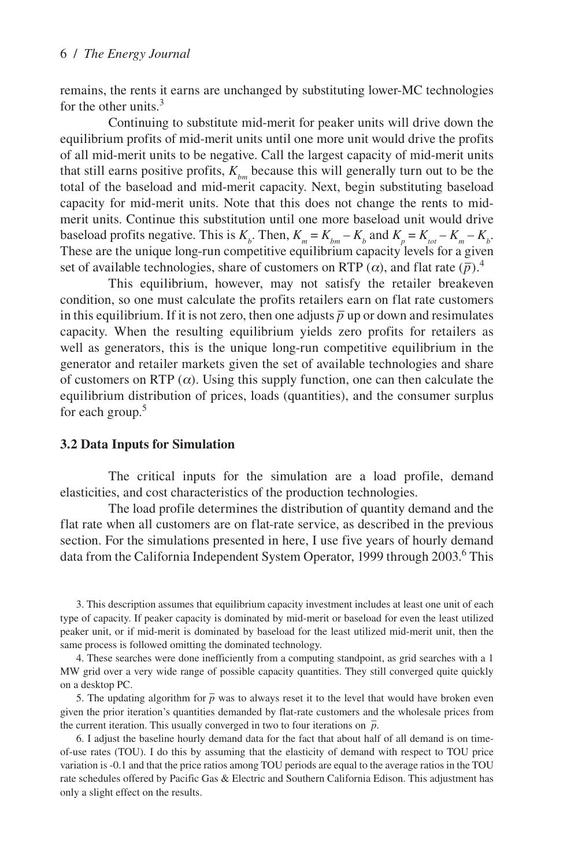remains, the rents it earns are unchanged by substituting lower-MC technologies for the other units. $3$ 

Continuing to substitute mid-merit for peaker units will drive down the equilibrium profits of mid-merit units until one more unit would drive the profits of all mid-merit units to be negative. Call the largest capacity of mid-merit units that still earns positive profits,  $K_{hm}$  because this will generally turn out to be the total of the baseload and mid-merit capacity. Next, begin substituting baseload capacity for mid-merit units. Note that this does not change the rents to midmerit units. Continue this substitution until one more baseload unit would drive baseload profits negative. This is  $K_b$ . Then,  $K_m = K_{bm} - K_b$  and  $K_p = K_{tot} - K_m - K_b$ . These are the unique long-run competitive equilibrium capacity levels for a given set of available technologies, share of customers on RTP  $(\alpha)$ , and flat rate  $(\bar{p})$ .<sup>4</sup>

This equilibrium, however, may not satisfy the retailer breakeven condition, so one must calculate the profits retailers earn on flat rate customers in this equilibrium. If it is not zero, then one adjusts  $\bar{p}$  up or down and resimulates capacity. When the resulting equilibrium yields zero profits for retailers as well as generators, this is the unique long-run competitive equilibrium in the generator and retailer markets given the set of available technologies and share of customers on RTP ( $\alpha$ ). Using this supply function, one can then calculate the equilibrium distribution of prices, loads (quantities), and the consumer surplus for each group.<sup>5</sup>

#### **3.2 Data Inputs for Simulation**

The critical inputs for the simulation are a load profile, demand elasticities, and cost characteristics of the production technologies.

The load profile determines the distribution of quantity demand and the flat rate when all customers are on flat-rate service, as described in the previous section. For the simulations presented in here, I use five years of hourly demand data from the California Independent System Operator, 1999 through 2003.<sup>6</sup> This

3. This description assumes that equilibrium capacity investment includes at least one unit of each type of capacity. If peaker capacity is dominated by mid-merit or baseload for even the least utilized peaker unit, or if mid-merit is dominated by baseload for the least utilized mid-merit unit, then the same process is followed omitting the dominated technology.

4. These searches were done inefficiently from a computing standpoint, as grid searches with a 1 MW grid over a very wide range of possible capacity quantities. They still converged quite quickly on a desktop PC.

5. The updating algorithm for  $\bar{p}$  was to always reset it to the level that would have broken even given the prior iteration's quantities demanded by flat-rate customers and the wholesale prices from the current iteration. This usually converged in two to four iterations on  $\bar{p}$ .

6. I adjust the baseline hourly demand data for the fact that about half of all demand is on timeof-use rates (TOU). I do this by assuming that the elasticity of demand with respect to TOU price variation is -0.1 and that the price ratios among TOU periods are equal to the average ratios in the TOU rate schedules offered by Pacific Gas & Electric and Southern California Edison. This adjustment has only a slight effect on the results.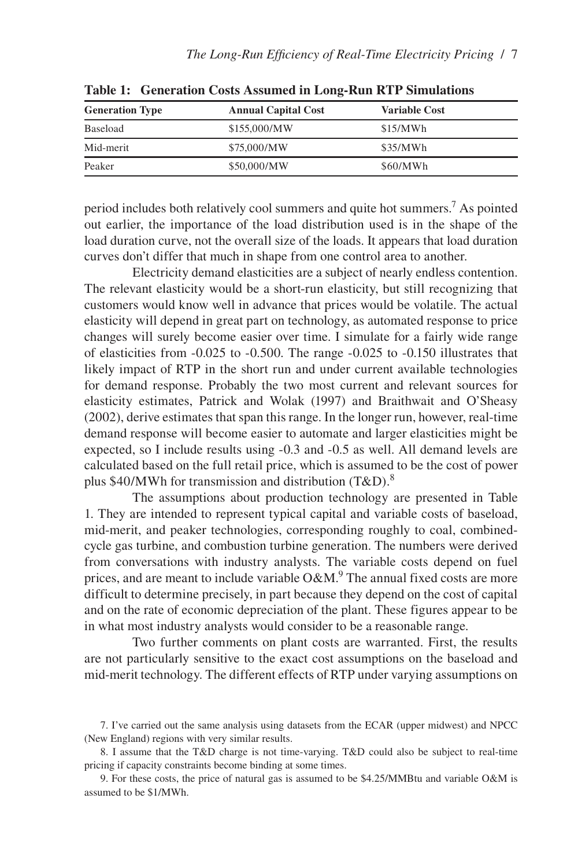| <b>Generation Type</b> | <b>Annual Capital Cost</b> | <b>Variable Cost</b> |  |
|------------------------|----------------------------|----------------------|--|
| Baseload               | \$155,000/MW               | \$15/MWh             |  |
| Mid-merit              | \$75,000/MW                | \$35/MWh             |  |
| Peaker                 | \$50,000/MW                | \$60/MWh             |  |

**Table 1: Generation Costs Assumed in Long-Run RTP Simulations**

period includes both relatively cool summers and quite hot summers.7 As pointed out earlier, the importance of the load distribution used is in the shape of the load duration curve, not the overall size of the loads. It appears that load duration curves don't differ that much in shape from one control area to another.

Electricity demand elasticities are a subject of nearly endless contention. The relevant elasticity would be a short-run elasticity, but still recognizing that customers would know well in advance that prices would be volatile. The actual elasticity will depend in great part on technology, as automated response to price changes will surely become easier over time. I simulate for a fairly wide range of elasticities from -0.025 to -0.500. The range -0.025 to -0.150 illustrates that likely impact of RTP in the short run and under current available technologies for demand response. Probably the two most current and relevant sources for elasticity estimates, Patrick and Wolak (1997) and Braithwait and O'Sheasy (2002), derive estimates that span this range. In the longer run, however, real-time demand response will become easier to automate and larger elasticities might be expected, so I include results using -0.3 and -0.5 as well. All demand levels are calculated based on the full retail price, which is assumed to be the cost of power plus \$40/MWh for transmission and distribution  $(T&D)^8$ .

The assumptions about production technology are presented in Table 1. They are intended to represent typical capital and variable costs of baseload, mid-merit, and peaker technologies, corresponding roughly to coal, combinedcycle gas turbine, and combustion turbine generation. The numbers were derived from conversations with industry analysts. The variable costs depend on fuel prices, and are meant to include variable  $O\&M$ .<sup>9</sup> The annual fixed costs are more difficult to determine precisely, in part because they depend on the cost of capital and on the rate of economic depreciation of the plant. These figures appear to be in what most industry analysts would consider to be a reasonable range.

Two further comments on plant costs are warranted. First, the results are not particularly sensitive to the exact cost assumptions on the baseload and mid-merit technology. The different effects of RTP under varying assumptions on

<sup>7.</sup> I've carried out the same analysis using datasets from the ECAR (upper midwest) and NPCC (New England) regions with very similar results.

<sup>8.</sup> I assume that the T&D charge is not time-varying. T&D could also be subject to real-time pricing if capacity constraints become binding at some times.

<sup>9.</sup> For these costs, the price of natural gas is assumed to be \$4.25/MMBtu and variable O&M is assumed to be \$1/MWh.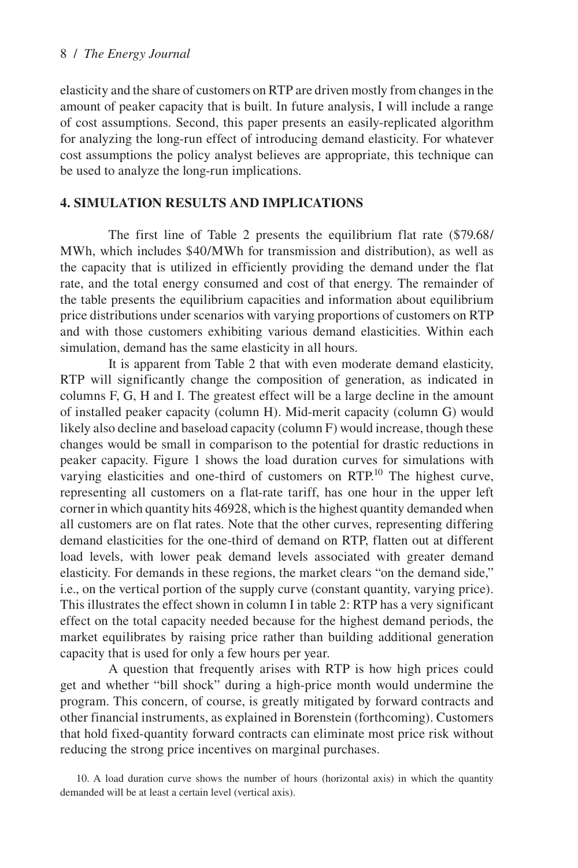elasticity and the share of customers on RTP are driven mostly from changes in the amount of peaker capacity that is built. In future analysis, I will include a range of cost assumptions. Second, this paper presents an easily-replicated algorithm for analyzing the long-run effect of introducing demand elasticity. For whatever cost assumptions the policy analyst believes are appropriate, this technique can be used to analyze the long-run implications.

# **4. SIMULATION RESULTS AND IMPLICATIONS**

The first line of Table 2 presents the equilibrium flat rate (\$79.68/ MWh, which includes \$40/MWh for transmission and distribution), as well as the capacity that is utilized in efficiently providing the demand under the flat rate, and the total energy consumed and cost of that energy. The remainder of the table presents the equilibrium capacities and information about equilibrium price distributions under scenarios with varying proportions of customers on RTP and with those customers exhibiting various demand elasticities. Within each simulation, demand has the same elasticity in all hours.

It is apparent from Table 2 that with even moderate demand elasticity, RTP will significantly change the composition of generation, as indicated in columns F, G, H and I. The greatest effect will be a large decline in the amount of installed peaker capacity (column H). Mid-merit capacity (column G) would likely also decline and baseload capacity (column F) would increase, though these changes would be small in comparison to the potential for drastic reductions in peaker capacity. Figure 1 shows the load duration curves for simulations with varying elasticities and one-third of customers on RTP.<sup>10</sup> The highest curve, representing all customers on a flat-rate tariff, has one hour in the upper left corner in which quantity hits 46928, which is the highest quantity demanded when all customers are on flat rates. Note that the other curves, representing differing demand elasticities for the one-third of demand on RTP, flatten out at different load levels, with lower peak demand levels associated with greater demand elasticity. For demands in these regions, the market clears "on the demand side," i.e., on the vertical portion of the supply curve (constant quantity, varying price). This illustrates the effect shown in column I in table 2: RTP has a very significant effect on the total capacity needed because for the highest demand periods, the market equilibrates by raising price rather than building additional generation capacity that is used for only a few hours per year.

A question that frequently arises with RTP is how high prices could get and whether "bill shock" during a high-price month would undermine the program. This concern, of course, is greatly mitigated by forward contracts and other financial instruments, as explained in Borenstein (forthcoming). Customers that hold fixed-quantity forward contracts can eliminate most price risk without reducing the strong price incentives on marginal purchases.

<sup>10.</sup> A load duration curve shows the number of hours (horizontal axis) in which the quantity demanded will be at least a certain level (vertical axis).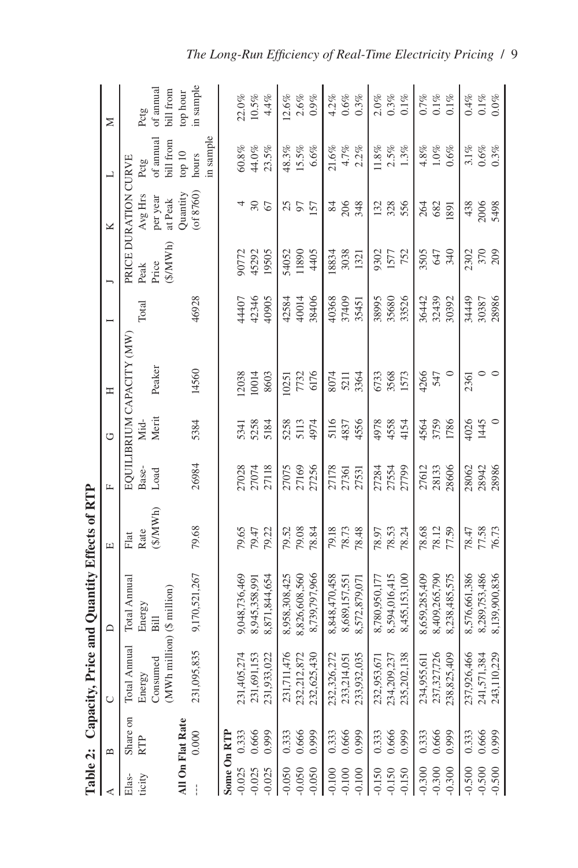|                      | Table 2: Capacity, |                                        | Price and Quantity Effects of RTP |                                        |                |               |                                     |                |                          |                                               |                              |                       |
|----------------------|--------------------|----------------------------------------|-----------------------------------|----------------------------------------|----------------|---------------|-------------------------------------|----------------|--------------------------|-----------------------------------------------|------------------------------|-----------------------|
| ⋖                    | $\mathbf{u}$       | $\cup$                                 | $\mathbf{\Omega}$                 | $\boxed{\underline{\mathbf{L}}}$       | $\mathbf{L}$   | ن             | Ξ                                   |                |                          | ×                                             | ┙                            | $\geq$                |
| ticity<br>$Elas -$   | Share on<br>RTP    | Total Annual<br>Consumed<br>Energy     | Total Annual<br>Energy<br>Bill    | $(\frac{$}{N}$ MWh $)$<br>Rate<br>Flat | Base-<br>Load  | Merit<br>Мid- | EQUILIBRIUM CAPACITY (MW)<br>Peaker | Total          | Price<br>Peak            | PRICE DURATION CURVE<br>$Avg$ Hrs<br>per year | of annual<br>Pctg            | of annual<br>Pctg     |
|                      | All On Flat Rate   | (MWh million) (\$ million)             |                                   |                                        |                |               |                                     |                | $(\frac{$}{\text{MWh}})$ | at Peak                                       | bill from                    | bill from             |
|                      | 0.000              | 095,835<br>231(                        | 9,170,521,267                     | 79.68                                  | 26984          | 5384          | 14560                               | 46928          |                          | $($ of $8760)$<br>Quantity                    | in sample<br>top 10<br>hours | in sample<br>top hour |
|                      | Some On RTP        |                                        |                                   |                                        |                |               |                                     |                |                          |                                               |                              |                       |
| $-0.025$             | 0.333              | 231,405,274                            | 9,048,736,469                     | 79.65                                  | 27028          | 5341          | 12038                               | 44407          | 90772                    |                                               | $60.8\%$                     | 22.0%                 |
| $-0.025$<br>$-0.025$ | 0.666<br>0.999     | 231,691,153<br>231,933,022             | 8,871,844,654<br>8,945,358,991    | 79.22<br>79.47                         | 27074<br>27118 | 5258<br>5184  | 10014<br>8603                       | 42346<br>40905 | 45292<br>19505           | $30\,$<br>$\mathcal{Q}$                       | $44.0\%$<br>23.5%            | $4.4\%$<br>$10.5\%$   |
| $-0.050$             | 0.333              | 231,711,476                            | 8,958,308,425                     | 79.52                                  | 27075          | 5258          | 10251                               | 42584          | 54052                    | 25                                            | 48.3%                        | 12.6%                 |
| $-0.050$             | 0.666              | 232,212,872                            | 8,826,608,560                     | 79.08                                  | 27169          | 5113          | 7732                                | 40014          | 11890                    | 50                                            | 15.5%                        | 2.6%                  |
| $-0.050$             | 0.999              | 232,625,430                            | 8,739,797,966                     | 78.84                                  | 27256          | 4974          | 6176                                | 38406          | 4405                     | 157                                           | 6.6%                         | $0.9\%$               |
| $-0.100$             | 0.333              | 232,326,272                            | 8,848,470,458                     | 79.18                                  | 27178          | 5116          | 8074                                | 40368          | 18834                    | 84                                            | 21.6%                        | $4.2\%$               |
| $-0.100$             | 0.666<br>0.999     | 233,214,051<br>233,932,035             | 8,689,157,551                     | 78.73                                  | 27361          | 4837          | 5211                                | 37409          | 3038                     | 206                                           | $4.7\%$                      | 0.6%                  |
| $-0.100$             |                    |                                        | 8,572,879,071                     | 78.48                                  | 27531          | 4556          | 3364                                | 35451          | 1321                     | 348                                           | $2.2\%$                      | 0.3%                  |
| $-0.150$             | 0.333              | 232,953,671                            | 8,780,950,177                     | 78.97                                  | 27284          | 4978          | 6733                                | 38995          | 9302                     | 132                                           | 11.8%                        | $2.0\%$               |
| $-0.150$             | 0.666              | 234,209,237<br>235,202,138             | 8,594,016,415                     | 78.53                                  | 27554          | 4558          | 3568                                | 35680          | 1577                     | 328                                           | 2.5%                         | 0.3%                  |
| $-0.150$             | 0.999              |                                        | 8,455,153,100                     | 78.24                                  | 27799          | 4154          | 1573                                | 33526          | 752                      | 556                                           | $1.3\%$                      | $0.1\%$               |
| $-0.300$             | 0.333              | 234,955,611                            | 8,659,285,409                     | 78.68                                  | 27612          | 4564          | 4266                                | 36442          | 3505                     | 264                                           | $4.8\%$                      | 0.7%                  |
| $-0.300$             | 0.666              | 237,327,726                            | 8,409,265,790                     | 78.12                                  | 28133          | 3759          | 547                                 | 32439          | 647                      | 682                                           | $1.0\%$                      | $0.1\%$               |
| $-0.300$             | 0.999              | 238,825,409                            | 8,238,485,575                     | 77.59                                  | 28606          | 1786          | $\circ$                             | 30392          | 340                      | 1891                                          | $0.6\%$                      | $0.1\%$               |
| $-0.500$             | 0.333              | 237,926,466                            | 8,576,661,386                     | 78.47                                  | 28062          | 4026          | 2361                                | 34449          | 2302                     | 438                                           | $3.1\%$                      | $0.4\%$               |
| $-0.500$             | 0.666<br>0.999     | 17,384<br>241,5 <sup>r</sup><br>243,11 | 8,289,753,486                     | 77.58                                  | 28942          | 1445          |                                     | 30387          | 370                      | 2006                                          | $0.6\%$                      | $0.1\%$               |
| $-0.500$             |                    | 10,229                                 | 8,139,900,836                     | 76.73                                  | 28986          | $\circ$       |                                     | 28986          | 209                      | 5498                                          | 0.3%                         | $0.0\%$               |

| The Long-Run Efficiency of Real-Time Electricity Pricing / 9 |  |
|--------------------------------------------------------------|--|
|--------------------------------------------------------------|--|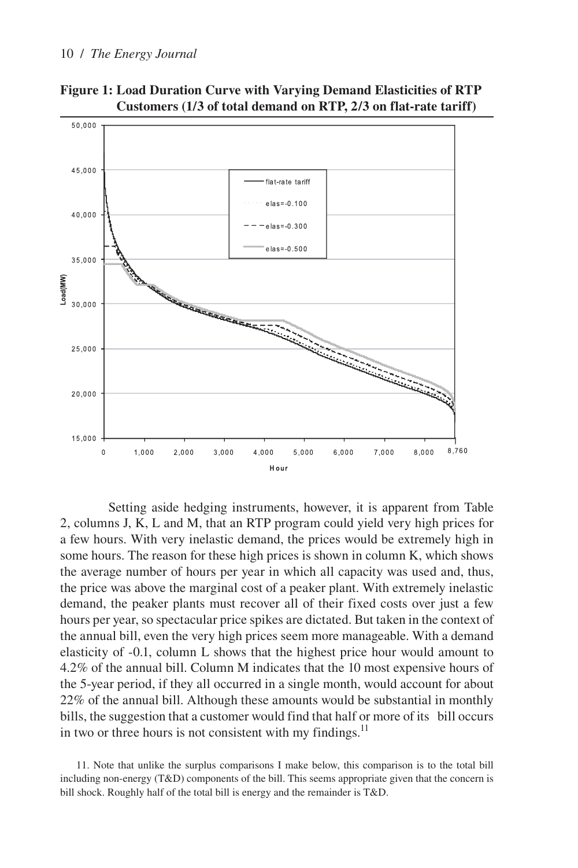

**Figure 1: Load Duration Curve with Varying Demand Elasticities of RTP Customers (1/3 of total demand on RTP, 2/3 on flat-rate tariff)**

Setting aside hedging instruments, however, it is apparent from Table 2, columns J, K, L and M, that an RTP program could yield very high prices for a few hours. With very inelastic demand, the prices would be extremely high in some hours. The reason for these high prices is shown in column K, which shows the average number of hours per year in which all capacity was used and, thus, the price was above the marginal cost of a peaker plant. With extremely inelastic demand, the peaker plants must recover all of their fixed costs over just a few hours per year, so spectacular price spikes are dictated. But taken in the context of the annual bill, even the very high prices seem more manageable. With a demand elasticity of -0.1, column L shows that the highest price hour would amount to 4.2% of the annual bill. Column M indicates that the 10 most expensive hours of the 5-year period, if they all occurred in a single month, would account for about 22% of the annual bill. Although these amounts would be substantial in monthly bills, the suggestion that a customer would find that half or more of its bill occurs in two or three hours is not consistent with my findings. $^{11}$ 

11. Note that unlike the surplus comparisons I make below, this comparison is to the total bill including non-energy (T&D) components of the bill. This seems appropriate given that the concern is bill shock. Roughly half of the total bill is energy and the remainder is T&D.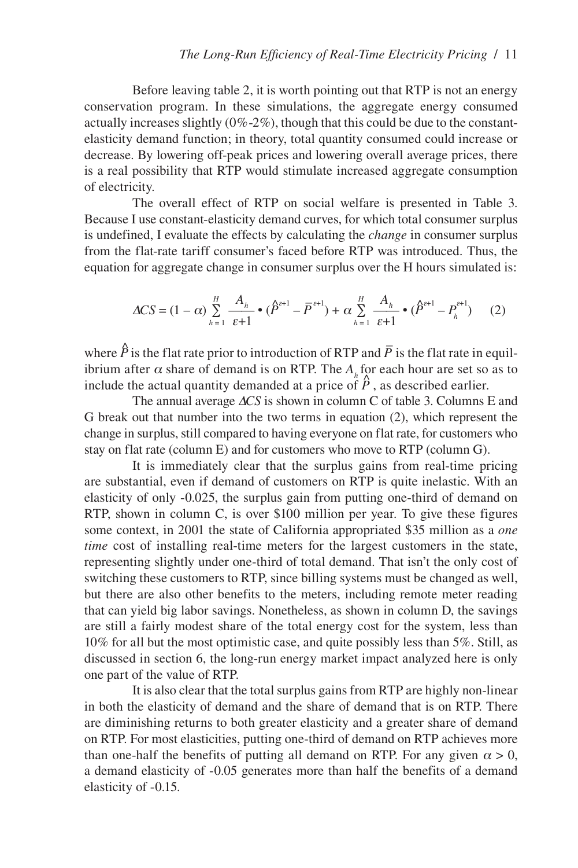Before leaving table 2, it is worth pointing out that RTP is not an energy conservation program. In these simulations, the aggregate energy consumed actually increases slightly  $(0\% - 2\%)$ , though that this could be due to the constantelasticity demand function; in theory, total quantity consumed could increase or decrease. By lowering off-peak prices and lowering overall average prices, there is a real possibility that RTP would stimulate increased aggregate consumption of electricity.

The overall effect of RTP on social welfare is presented in Table 3. Because I use constant-elasticity demand curves, for which total consumer surplus is undefined, I evaluate the effects by calculating the *change* in consumer surplus from the flat-rate tariff consumer's faced before RTP was introduced. Thus, the equation for aggregate change in consumer surplus over the H hours simulated is:

$$
\Delta CS = (1 - \alpha) \sum_{h=1}^{H} \frac{A_h}{\varepsilon + 1} \cdot (\hat{P}^{\varepsilon + 1} - \overline{P}^{\varepsilon + 1}) + \alpha \sum_{h=1}^{H} \frac{A_h}{\varepsilon + 1} \cdot (\hat{P}^{\varepsilon + 1} - P_h^{\varepsilon + 1}) \tag{2}
$$

where  $\hat{P}$  is the flat rate prior to introduction of RTP and  $\overline{P}$  is the flat rate in equilibrium after  $\alpha$  share of demand is on RTP. The A, for each hour are set so as to include the actual quantity demanded at a price of  $\hat{P}$ , as described earlier.

The annual average Δ*CS* is shown in column C of table 3. Columns E and G break out that number into the two terms in equation (2), which represent the change in surplus, still compared to having everyone on flat rate, for customers who stay on flat rate (column E) and for customers who move to RTP (column G).

It is immediately clear that the surplus gains from real-time pricing are substantial, even if demand of customers on RTP is quite inelastic. With an elasticity of only -0.025, the surplus gain from putting one-third of demand on RTP, shown in column C, is over \$100 million per year. To give these figures some context, in 2001 the state of California appropriated \$35 million as a *one time* cost of installing real-time meters for the largest customers in the state, representing slightly under one-third of total demand. That isn't the only cost of switching these customers to RTP, since billing systems must be changed as well, but there are also other benefits to the meters, including remote meter reading that can yield big labor savings. Nonetheless, as shown in column D, the savings are still a fairly modest share of the total energy cost for the system, less than 10% for all but the most optimistic case, and quite possibly less than 5%. Still, as discussed in section 6, the long-run energy market impact analyzed here is only one part of the value of RTP.

It is also clear that the total surplus gains from RTP are highly non-linear in both the elasticity of demand and the share of demand that is on RTP. There are diminishing returns to both greater elasticity and a greater share of demand on RTP. For most elasticities, putting one-third of demand on RTP achieves more than one-half the benefits of putting all demand on RTP. For any given  $\alpha > 0$ , a demand elasticity of -0.05 generates more than half the benefits of a demand elasticity of -0.15.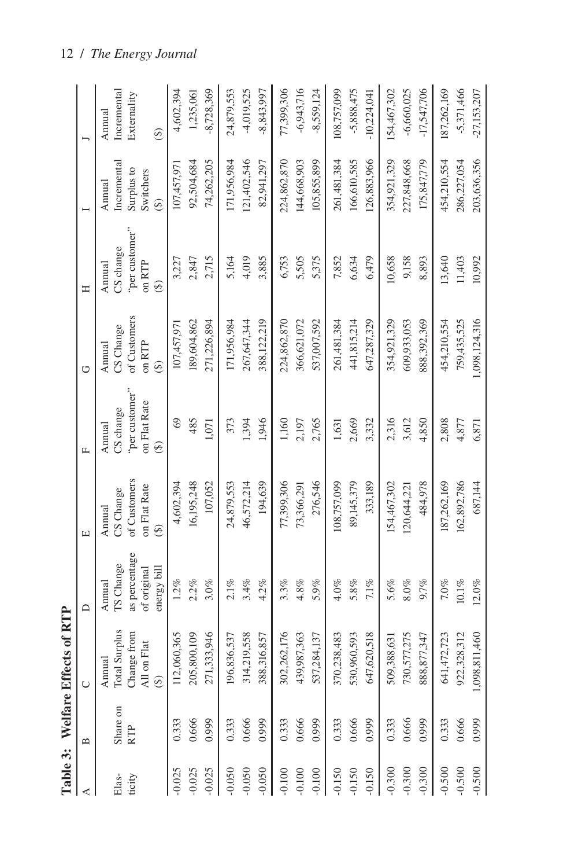|                 |                 | Table 3: Welfare Effects of RTP                                                         |                                                                    |                                                          |                                                            |                                                                          |                                                                            |                                                                             |                                           |
|-----------------|-----------------|-----------------------------------------------------------------------------------------|--------------------------------------------------------------------|----------------------------------------------------------|------------------------------------------------------------|--------------------------------------------------------------------------|----------------------------------------------------------------------------|-----------------------------------------------------------------------------|-------------------------------------------|
| ⋖               | $\mathbf{u}$    |                                                                                         | $\Box$                                                             | $\boxed{\underline{\mathbf{L}}}$                         | 匚                                                          | ٣                                                                        | Ξ                                                                          |                                                                             |                                           |
| ticity<br>Elas- | Share on<br>RTP | <b>Total Surplus</b><br>Change from<br>All on Flat<br>Annual<br>$\widehat{\mathcal{F}}$ | as percentage<br>TS Change<br>energy bill<br>of original<br>Annual | of Customers<br>on Flat Rate<br>CS Change<br>Annual<br>⊕ | "per customer"<br>on Flat Rate<br>CS change<br>Annual<br>⊕ | of Customers<br>CS Change<br>$\overline{on}$ RTP<br>Annual<br>$\bigcirc$ | "per customer"<br>CS change<br>$\overline{on}$ RTP<br>Annual<br>$\bigcirc$ | Incrementa<br>Surplus to<br>Switchers<br>Annual<br>$\widehat{\mathfrak{G}}$ | Incremental<br>Externality<br>Annual<br>⊕ |
| $-0.025$        | 0.666           | 271,333,946                                                                             | $1.2\%$                                                            | 16,195,248                                               | 3                                                          | 189,604,862                                                              | 2,715                                                                      | 74,262,205                                                                  | $-8,728,369$                              |
| $-0.025$        | 0.999           | 205,800,109                                                                             | 2.2%                                                               | 107,052                                                  | 485                                                        | 271,226,894                                                              | 2,847                                                                      | 92,504,684                                                                  | 4,602,394                                 |
| $-0.025$        | 0.333           | 112,060,365                                                                             | 3.0%                                                               | 4,602,394                                                | 1,071                                                      | 107,457,97                                                               | 3,227                                                                      | 107,457,97                                                                  | 1,235,061                                 |
| $-0.050$        | 0.666           | 314,219,558                                                                             | $2.1\%$                                                            | 194,639                                                  | 373                                                        | 267,647,344                                                              | 4,019                                                                      | 121,402,546                                                                 | 24,879,553                                |
| $-0.050$        | 0.999           | 196,836,537                                                                             | 3.4%                                                               | 24,879,553                                               | 1,394                                                      | 388,122,219                                                              | 3,885                                                                      | 171,956,984                                                                 | $-4,019,525$                              |
| $-0.050$        | 0.333           | 388,316,857                                                                             | 4.2%                                                               | 46,572,214                                               | 1,946                                                      | 171,956,984                                                              | 5,164                                                                      | 82,941,297                                                                  | $-8,843,997$                              |
| $-0.100$        | 0.666           | 302,262,176                                                                             | 3.3%                                                               | 77,399,306                                               | 1,160                                                      | 224,862,870                                                              | 5,505                                                                      | 224,862,870                                                                 | 77,399,306                                |
| $-0.100$        | 0.333           | 439,987,363                                                                             | $4.8\%$                                                            | 276,546                                                  | 2,765                                                      | 366,621,072                                                              | 5,375                                                                      | 144,668,903                                                                 | $-6,943,716$                              |
| $-0.100$        | 0.999           | 537,284,137                                                                             | 5.9%                                                               | 73,366,291                                               | 2,197                                                      | 537,007,592                                                              | 6,753                                                                      | 105,855,899                                                                 | $-8,559,124$                              |
| $-0.150$        | 0.666           | 647,620,518                                                                             | $4.0\%$                                                            | 108,757,099                                              | 2,669                                                      | 441,815,214                                                              | 6,479                                                                      | 126,883,966                                                                 | 108,757,099                               |
| $-0.150$        | 0.999           | 530,960,593                                                                             | $5.8\%$                                                            | 89,145,379                                               | 3,332                                                      | 647,287,329                                                              | 7,852                                                                      | 166,610,585                                                                 | $-5,888,475$                              |
| $-0.150$        | 0.333           | 370,238,483                                                                             | $7.1\%$                                                            | 333,189                                                  | 1,631                                                      | 261,481,384                                                              | 6,634                                                                      | 261,481,384                                                                 | $-10,224,041$                             |
| $-0.300$        | 0.666           | 730,577,275                                                                             | 5.6%                                                               | 154,467,302                                              | 2,316                                                      | 354,921,329                                                              | 10,658                                                                     | 354,921,329                                                                 | $-17,547,706$                             |
| $-0.300$        | 0.333           | 888,877,347                                                                             | $8.0\%$                                                            | 484,978                                                  | 3,612                                                      | 888,392,369                                                              | 9,158                                                                      | 227,848,668                                                                 | 154,467,302                               |
| $-0.300$        | 0.999           | 509,388,631                                                                             | 9.7%                                                               | 120,644,221                                              | 4,850                                                      | 609,933,053                                                              | 8,893                                                                      | 175,847,779                                                                 | $-6,660,025$                              |
| $-0.500$        | 0.666           | 922,328,312                                                                             | $7.0\%$                                                            | 162,892,786                                              | 2,808                                                      | 1,098,124,316                                                            | 13,640                                                                     | 203,636,356                                                                 | $-5,371,466$                              |
| $-0.500$        | 0.999           | 1,098,811,460                                                                           | $10.1\%$                                                           | 187,262,169                                              | 4,877                                                      | 759,435,525                                                              | 11,403                                                                     | 454,210,554                                                                 | 187,262,169                               |
| $-0.500$        | 0.333           | 641,472,723                                                                             | $12.0\%$                                                           | 687,144                                                  | 6,871                                                      | 454,210,554                                                              | 10,992                                                                     | 286,227,054                                                                 | $-27,153,207$                             |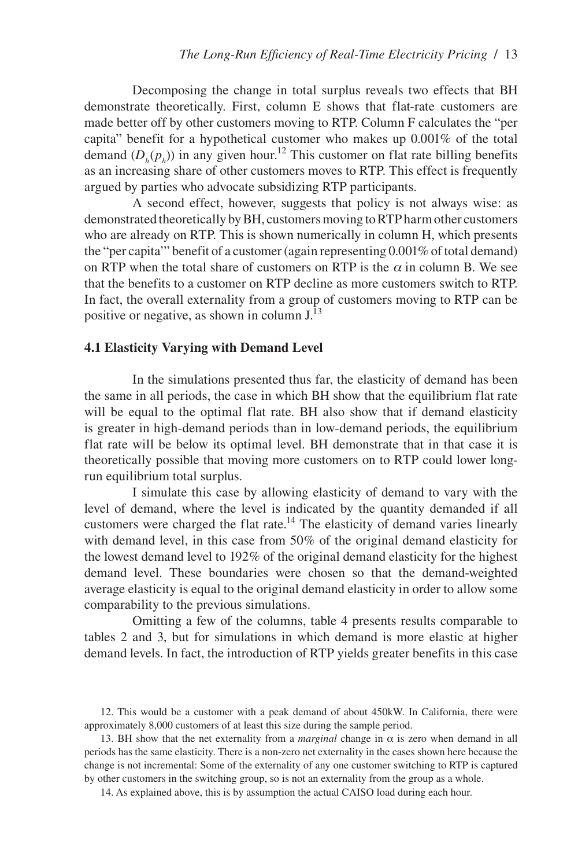Decomposing the change in total surplus reveals two effects that BH demonstrate theoretically. First, column E shows that flat-rate customers are made better off by other customers moving to RTP. Column F calculates the "per capita" benefit for a hypothetical customer who makes up 0.001% of the total demand  $(D_h(p_h))$  in any given hour.<sup>12</sup> This customer on flat rate billing benefits as an increasing share of other customers moves to RTP. This effect is frequently argued by parties who advocate subsidizing RTP participants.

A second effect, however, suggests that policy is not always wise: as demonstrated theoretically by BH, customers moving to RTP harm other customers who are already on RTP. This is shown numerically in column H, which presents the "per capita'" benefit of a customer (again representing 0.001% of total demand) on RTP when the total share of customers on RTP is the  $\alpha$  in column B. We see that the benefits to a customer on RTP decline as more customers switch to RTP. In fact, the overall externality from a group of customers moving to RTP can be positive or negative, as shown in column J.13

#### **4.1 Elasticity Varying with Demand Level**

In the simulations presented thus far, the elasticity of demand has been the same in all periods, the case in which BH show that the equilibrium flat rate will be equal to the optimal flat rate. BH also show that if demand elasticity is greater in high-demand periods than in low-demand periods, the equilibrium flat rate will be below its optimal level. BH demonstrate that in that case it is theoretically possible that moving more customers on to RTP could lower longrun equilibrium total surplus.

I simulate this case by allowing elasticity of demand to vary with the level of demand, where the level is indicated by the quantity demanded if all customers were charged the flat rate.<sup>14</sup> The elasticity of demand varies linearly with demand level, in this case from 50% of the original demand elasticity for the lowest demand level to 192% of the original demand elasticity for the highest demand level. These boundaries were chosen so that the demand-weighted average elasticity is equal to the original demand elasticity in order to allow some comparability to the previous simulations.

Omitting a few of the columns, table 4 presents results comparable to tables 2 and 3, but for simulations in which demand is more elastic at higher demand levels. In fact, the introduction of RTP yields greater benefits in this case

<sup>12.</sup> This would be a customer with a peak demand of about 450kW. In California, there were approximately 8,000 customers of at least this size during the sample period.

<sup>13.</sup> BH show that the net externality from a *marginal* change in  $\alpha$  is zero when demand in all periods has the same elasticity. There is a non-zero net externality in the cases shown here because the change is not incremental: Some of the externality of any one customer switching to RTP is captured by other customers in the switching group, so is not an externality from the group as a whole.

<sup>14.</sup> As explained above, this is by assumption the actual CAISO load during each hour.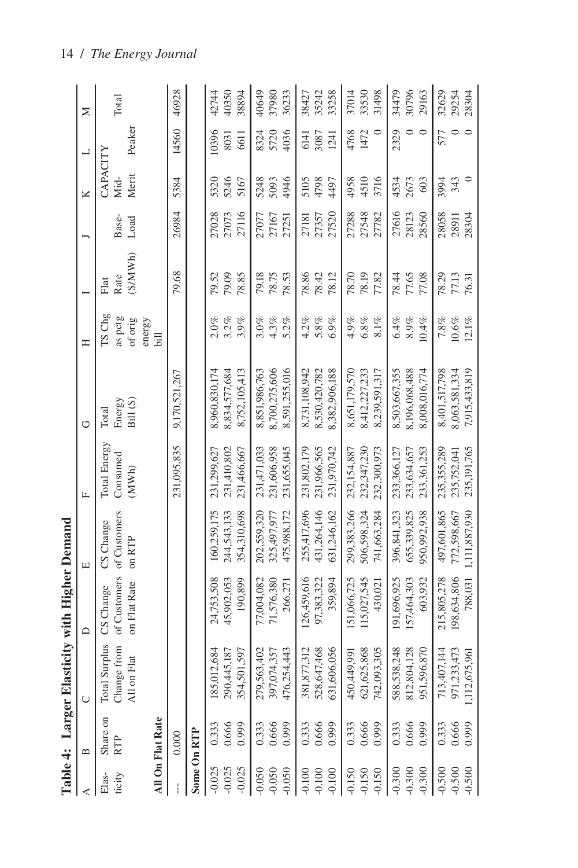|                 | Table 4: Larger El |                                                                 | lasticity with Higher Demand              |                                     |                                   |                              |                              |                                                 |               |                           |             |       |
|-----------------|--------------------|-----------------------------------------------------------------|-------------------------------------------|-------------------------------------|-----------------------------------|------------------------------|------------------------------|-------------------------------------------------|---------------|---------------------------|-------------|-------|
| ⋖               | $\mathbf{u}$       | $\cup$                                                          | $\mathbf{\Omega}$                         | Е                                   | $\mathbf{L}$                      | ٣                            | Ξ                            |                                                 | J             | ≍                         | ┙           | Σ     |
| ticity<br>Elas- | Share on<br>RTP    | Total Surplus<br>nge from<br>on Flat<br>Chai<br>$\overline{AB}$ | of Customers<br>on Flat Rate<br>CS Change | of Customers<br>CS Change<br>on RTP | Total Energy<br>Consumed<br>(MWh) | Energy<br>Bill (\$)<br>Total | TS Chg<br>as pctg<br>of orig | $(\frac{$}{W}\times\mathbf{M})$<br>Rate<br>Flat | Base-<br>Load | CAPACITY<br>Merit<br>Mid- | Peaker      | Total |
|                 | All On Flat Rate   |                                                                 |                                           |                                     |                                   |                              | energy<br>Бil                |                                                 |               |                           |             |       |
|                 | 0.000              |                                                                 |                                           |                                     | 231,095,835                       | 9,170,521,267                |                              | 79.68                                           | 26984         | 5384                      | 14560       | 46928 |
|                 | Some On RTP        |                                                                 |                                           |                                     |                                   |                              |                              |                                                 |               |                           |             |       |
| $-0.025$        | 0.333              | 185,012,684                                                     | 24,753,508                                | 160,259,175                         | 231,299,627                       | 8,960,830,174                | $2.0\%$                      | 79.52                                           | 27028         | 5320                      | 10396       | 42744 |
| $-0.025$        | 0.666              | ,445,187<br>290                                                 | 45,902,053                                | 244,543,133                         | 231,410,802                       | 8,834,577,684                | $3.2\%$                      | 79.09                                           | 27073         | 5246                      | 8031        | 40350 |
| $-0.025$        | 0.999              | 501,597<br>354,                                                 | 190,899                                   | 354,310,698                         | 231,466,667                       | 8,752,105,413                | 3.9%                         | 78.85                                           | 27116         | 5167                      | <b>6611</b> | 38894 |
| $-0.050$        | 0.333              | ,563,402<br>279,                                                | 77,004,082                                | 202,559,320                         | 231,471,033                       | 8,851,986,763                | $3.0\%$                      | 79.18                                           | 27077         | 5248                      | 8324        | 40649 |
| $-0.050$        | 0.666              | 397,074,357                                                     | 71,576,380                                | 325,497,977                         | 231,606,958                       | 8,700,275,606                | 4.3%                         | 78.75                                           | 27167         | 5093                      | 5720        | 37980 |
| $-0.050$        | 0.999              | ,254,443<br>476,                                                | 266,271                                   | 475,988,172                         | 231,655,045                       | 8,591,255,016                | $5.2\%$                      | 78.53                                           | 27251         | 4946                      | 4036        | 36233 |
| $-0.100$        | 0.333              | 877,312<br>381                                                  | 26,459,616                                | 255,417,696                         | 231,802,179                       | 8,731,108,942                | 4.2%                         | 78.86                                           | 27181         | 5105                      | 6141        | 38427 |
| $-0.100$        | 0.666<br>0.999     | ,647,468<br>528,                                                | 97,383,322                                | 431,264,146                         | 231,966,565                       | 8,530,420,782                | $5.8\%$                      | 78.42                                           | 27357         | 4798                      | 3087        | 35242 |
| $-0.100$        |                    | ,606,056<br>631                                                 | 359,894                                   | 631,246,162                         | 231,970,742                       | 8,382,906,188                | 6.9%                         | 78.12                                           | 27520         | 4497                      | 1241        | 33258 |
| $-0.150$        | 0.333              | 449,991<br>450,                                                 | 51,066,725                                | 299,383,266                         | 232.154.887                       | 8,651,179,570                | 4.9%                         | 78.70                                           | 27288         | 4958                      | 4768        | 37014 |
| $-0.150$        | 0.666<br>0.999     | ,625,868<br>621                                                 | 115,027,545                               | 506,598,324                         | 232,347,230                       | 8,412,227,233                | $6.8\%$                      | 78.19                                           | 27548         | 4510                      | 1472        | 33530 |
| $-0.150$        |                    | ,093,305<br>742                                                 | 430,021                                   | 741,663,284                         | 232,300,973                       | 8,239,591,317                | $8.1\%$                      | 77.82                                           | 27782         | 3716                      | $\circ$     | 31498 |
| $-0.300$        | 0.333              | 538,248<br>588,                                                 | 191,696,925                               | 396,841,323                         | 233,366,127                       | 8,503,667,355                | 6.4%                         | 78.44                                           | 27616         | 4534                      | 2329        | 34479 |
| $-0.300$        | 0.666              | 804,128<br>812,                                                 | 157,464,303                               | 655,339,825                         | 233,634,657                       | 8,196,068,488                | $8.9\%$                      | 77.65                                           | 28123         | 2673                      | $\circ$     | 30796 |
| $-0.300$        | 0.999              | 596,870<br>951                                                  | 603,932                                   | 950,992,938                         | 233,361,253                       | 8,008,016,774                | 10.4%                        | 77.08                                           | 28560         | 603                       | $\circ$     | 29163 |
| $-0.500$        | 0.333              | ,407,144<br>713,                                                | 215,805,278                               | 497,601,865                         | 235,355,289                       | 8,401,517,798                | $7.8\%$                      | 78.29                                           | 28058         | 3994                      | 577         | 32629 |
| $-0.500$        | 0.666              | 971,233,473                                                     | 198,634,806                               | 772,598,667                         | 235,752,041                       | 8,063,581,334                | $10.6\%$                     | 77.13                                           | 28911         | 343                       | $\circ$     | 29254 |
| $-0.500$        | 0.999              | 1,112,675,961                                                   | 788,031                                   | 1,111,887,930                       | 235,191,765                       | 7,915,433,819                | 12.1%                        | 76.31                                           | 28304         | $\circ$                   | $\circ$     | 28304 |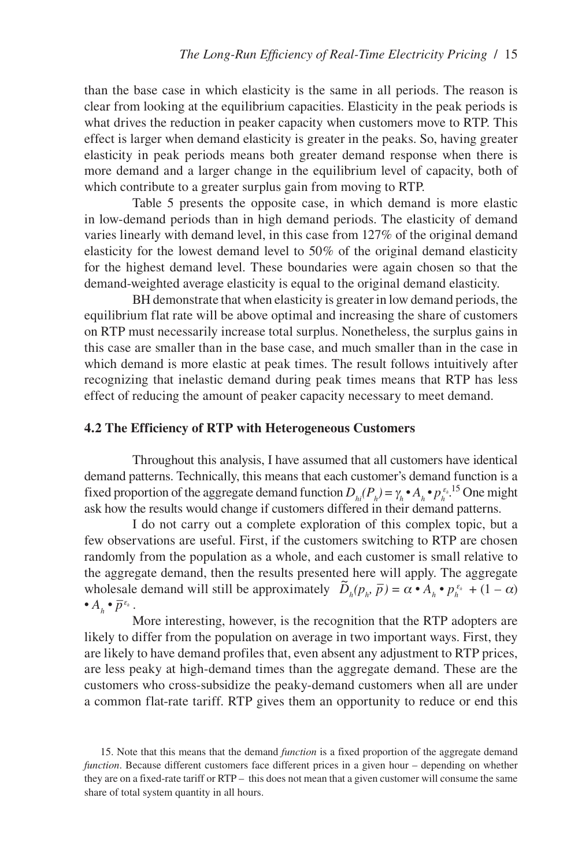than the base case in which elasticity is the same in all periods. The reason is clear from looking at the equilibrium capacities. Elasticity in the peak periods is what drives the reduction in peaker capacity when customers move to RTP. This effect is larger when demand elasticity is greater in the peaks. So, having greater elasticity in peak periods means both greater demand response when there is more demand and a larger change in the equilibrium level of capacity, both of which contribute to a greater surplus gain from moving to RTP.

Table 5 presents the opposite case, in which demand is more elastic in low-demand periods than in high demand periods. The elasticity of demand varies linearly with demand level, in this case from 127% of the original demand elasticity for the lowest demand level to 50% of the original demand elasticity for the highest demand level. These boundaries were again chosen so that the demand-weighted average elasticity is equal to the original demand elasticity.

BH demonstrate that when elasticity is greater in low demand periods, the equilibrium flat rate will be above optimal and increasing the share of customers on RTP must necessarily increase total surplus. Nonetheless, the surplus gains in this case are smaller than in the base case, and much smaller than in the case in which demand is more elastic at peak times. The result follows intuitively after recognizing that inelastic demand during peak times means that RTP has less effect of reducing the amount of peaker capacity necessary to meet demand.

#### **4.2 The Efficiency of RTP with Heterogeneous Customers**

Throughout this analysis, I have assumed that all customers have identical demand patterns. Technically, this means that each customer's demand function is a fixed proportion of the aggregate demand function  $D_{hi}(P_h) = \gamma_h \cdot A_h \cdot p_h^{\varepsilon_h}$ <sup>15</sup> One might ask how the results would change if customers differed in their demand patterns.

I do not carry out a complete exploration of this complex topic, but a few observations are useful. First, if the customers switching to RTP are chosen randomly from the population as a whole, and each customer is small relative to the aggregate demand, then the results presented here will apply. The aggregate wholesale demand will still be approximately  $\tilde{D}_h(p_h, \bar{p}) = \alpha \cdot A_h \cdot p_h^{\epsilon_h} + (1 - \alpha)$ •  $A_h \cdot \overline{p}^{\varepsilon_h}$ .

More interesting, however, is the recognition that the RTP adopters are likely to differ from the population on average in two important ways. First, they are likely to have demand profiles that, even absent any adjustment to RTP prices, are less peaky at high-demand times than the aggregate demand. These are the customers who cross-subsidize the peaky-demand customers when all are under a common flat-rate tariff. RTP gives them an opportunity to reduce or end this

<sup>15.</sup> Note that this means that the demand *function* is a fixed proportion of the aggregate demand *function*. Because different customers face different prices in a given hour – depending on whether they are on a fixed-rate tariff or RTP – this does not mean that a given customer will consume the same share of total system quantity in all hours.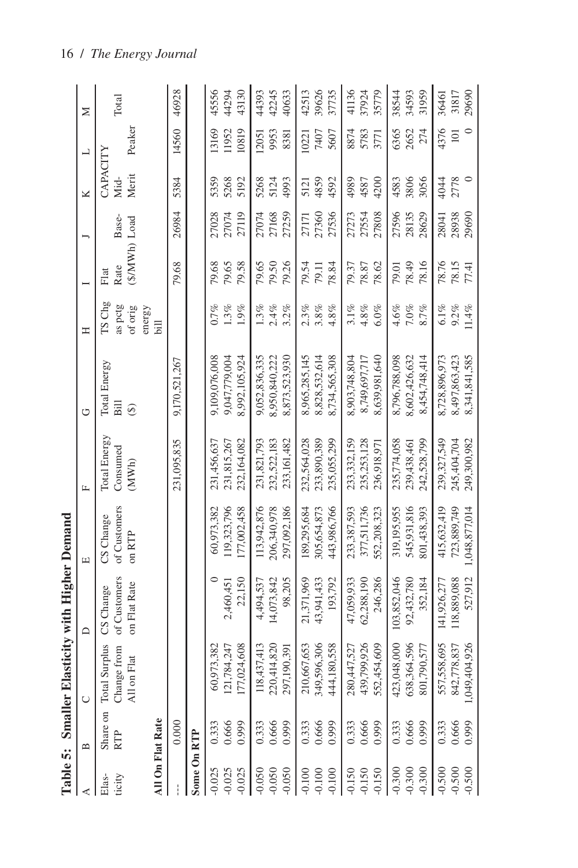|                      |                 | Table 5: Smaller Elasticity with Higher Demand                         |                                           |                                     |                                   |                           |                                   |                                |       |                           |                |       |
|----------------------|-----------------|------------------------------------------------------------------------|-------------------------------------------|-------------------------------------|-----------------------------------|---------------------------|-----------------------------------|--------------------------------|-------|---------------------------|----------------|-------|
| ⋖                    | $\mathbf{a}$    | $\cup$                                                                 | $\Box$                                    | 凹                                   | L.                                | ٣                         | Ξ                                 |                                | J     | ≍                         | $\overline{a}$ | ⋝     |
| ticity<br>Elas-      | Share on<br>RTP | <b>Total Surplus</b><br>nge from<br>on Flat<br>Chai<br>$\overline{AB}$ | of Customers<br>on Flat Rate<br>CS Change | of Customers<br>CS Change<br>on RTP | Total Energy<br>Consumed<br>(MWh) | Total Energy<br>Бill<br>⊕ | $TS$ $C$ hg<br>as pctg<br>of orig | $(S/MWh)$ Load<br>Rate<br>Flat | Base- | CAPACITY<br>Merit<br>Mid- | Peaker         | Total |
| All On Flat Rate     |                 |                                                                        |                                           |                                     |                                   |                           | energy<br>liid                    |                                |       |                           |                |       |
|                      | 0.000           |                                                                        |                                           |                                     | 231,095,835                       | 9,170,521,267             |                                   | 79.68                          | 26984 | 5384                      | 14560          | 46928 |
| Some On RTP          |                 |                                                                        |                                           |                                     |                                   |                           |                                   |                                |       |                           |                |       |
| $-0.025$             | 0.333           | 60,973,382                                                             |                                           | 60,973,382                          | 231,456,637                       | 9,109,076,008             | $0.7\%$                           | 79.68                          | 27028 | 5359                      | 13169          | 45556 |
| $-0.025$             | 0.666<br>0.999  | 121,784,247                                                            | 2,460,451                                 | 119,323,796                         | 231,815,267                       | 9,047,779,004             | $1.3\%$                           | 79.65                          | 27074 | 5268                      | 11952          | 44294 |
| $-0.025$             |                 | 7,024,608<br>177                                                       | 22,150                                    | 177,002,458                         | 232,164,082                       | 8,992,105,924             | 1.9%                              | 79.58                          | 27119 | 5192                      | 10819          | 43130 |
| $-0.050$             | 0.333           | 118,437,413                                                            | 4,494,537                                 | 113,942,876                         | 231,821,793                       | 9,052,836,335             | $1.3\%$                           | 79.65                          | 27074 | 5268                      | 2051           | 44393 |
| $-0.050$             | 0.666<br>0.999  | 220,414,820<br>297,190,391                                             | 14,073,842                                | 206,340,978                         | 232,522,183                       | 8,950,840,222             | $2.4\%$                           | 79.50                          | 27168 | 5124                      | 9953           | 42245 |
| $-0.050$             |                 |                                                                        | 98,205                                    | 297,092,186                         | 233,161,482                       | 8,873,523,930             | $3.2\%$                           | 79.26                          | 27259 | 4993                      | 8381           | 40633 |
| $-0.100$             | 0.333           |                                                                        | 21,371,969                                | 189,295,684                         | 232,564,028                       | 8,965,285,145             | 2.3%                              | 79.54                          | 27171 | 5121                      | 10221          | 42513 |
| $-0.100$<br>$-0.100$ | 0.666<br>0.999  | 210,667,653<br>349,596,306                                             | 43,941,433                                | 305,654,873                         | 233,890,389                       | 8,828,532,614             | $3.8\%$                           | 79.11                          | 27360 | 4859                      | 7407           | 39626 |
|                      |                 | 4,180,558<br>$\dot{4}$                                                 | 193,792                                   | 443,986,766                         | 235,055,299                       | 8,734,565,308             | $4.8\%$                           | 78.84                          | 27536 | 4592                      | 5607           | 37735 |
| $-0.150$             | 0.333           | 280,447,527                                                            | 47.059.933                                | 233,387,593                         | 233,332,159                       | 8,903,748,804             | 3.1%                              | 79.37                          | 27273 | 4989                      | 8874           | 41136 |
| $-0.150$             | 0.666<br>0.999  | 439,799,926                                                            | 62,288,190                                | 377,511,736                         | 235,253,128                       | 8,749,697,717             | $4.8\%$                           | 78.87                          | 27554 | 4587                      | 5783           | 37924 |
| $-0.150$             |                 | 2,454,609<br>552                                                       | 246,286                                   | 552,208,323                         | 236,918,971                       | 8,639,981,640             | $6.0\%$                           | 78.62                          | 27808 | 4200                      | 3771           | 35779 |
| $-0.300$             | 0.333           | 423,048,000<br>638,364,596                                             | 103,852,046                               | 319,195,955                         | 235,774,058                       | 8,796,788,098             | 4.6%                              | 79.01                          | 27596 | 4583                      | 6365           | 38544 |
| $-0.300$             | 0.666           |                                                                        | 92,432,780                                | 545,931,816                         | 239,438,461                       | 8,602,426,632             | $7.0\%$                           | 78.49                          | 28135 | 3806                      | 2652           | 34593 |
| $-0.300$             | 0.999           | 1,790,577<br>801                                                       | 352,184                                   | 801,438,393                         | 242,528,799                       | 8.454.748.414             | 8.7%                              | 78.16                          | 28629 | 3056                      | 274            | 31959 |
| $-0.500$             | 0.333           | 557,558,695<br>842,778,837<br>1,049,404,926                            | 141,926,277                               | 415,632,419                         | 239,327,549                       | 8,728,896,973             | $6.1\%$                           | 78.76                          | 28041 | 4044                      | 4376           | 36461 |
|                      | 0.666           |                                                                        | 18,889,088                                | 723,889,749                         | 245,404,704                       | 8,497,863,423             | $9.2\%$                           | 78.15                          | 28938 | 2778                      | 101            | 31817 |
| $-0.500$             | 0.999           |                                                                        | 527,912                                   | 1,048,877,014                       | 249,300,982                       | 8,341,841,585             | 11.4%                             | 77.41                          | 29690 |                           |                | 29690 |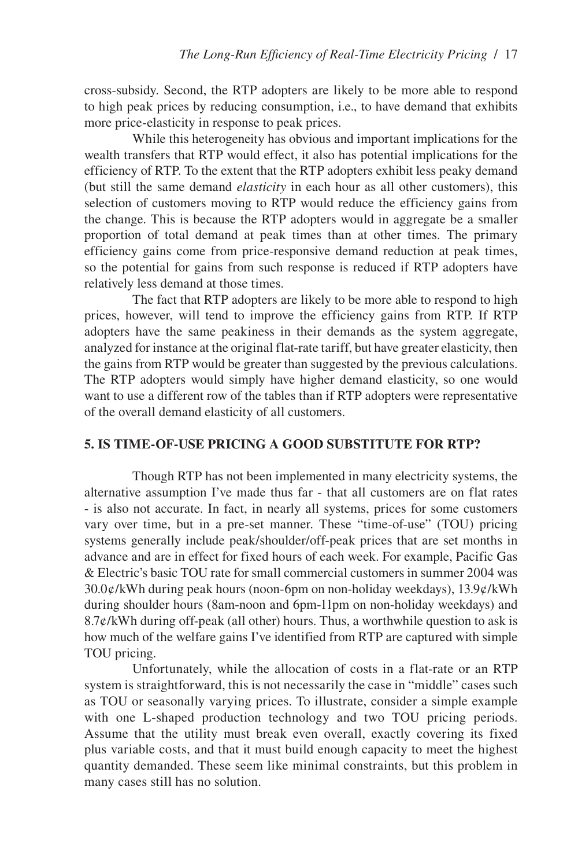cross-subsidy. Second, the RTP adopters are likely to be more able to respond to high peak prices by reducing consumption, i.e., to have demand that exhibits more price-elasticity in response to peak prices.

While this heterogeneity has obvious and important implications for the wealth transfers that RTP would effect, it also has potential implications for the efficiency of RTP. To the extent that the RTP adopters exhibit less peaky demand (but still the same demand *elasticity* in each hour as all other customers), this selection of customers moving to RTP would reduce the efficiency gains from the change. This is because the RTP adopters would in aggregate be a smaller proportion of total demand at peak times than at other times. The primary efficiency gains come from price-responsive demand reduction at peak times, so the potential for gains from such response is reduced if RTP adopters have relatively less demand at those times.

The fact that RTP adopters are likely to be more able to respond to high prices, however, will tend to improve the efficiency gains from RTP. If RTP adopters have the same peakiness in their demands as the system aggregate, analyzed for instance at the original flat-rate tariff, but have greater elasticity, then the gains from RTP would be greater than suggested by the previous calculations. The RTP adopters would simply have higher demand elasticity, so one would want to use a different row of the tables than if RTP adopters were representative of the overall demand elasticity of all customers.

## **5. IS TIME-OF-USE PRICING A GOOD SUBSTITUTE FOR RTP?**

Though RTP has not been implemented in many electricity systems, the alternative assumption I've made thus far - that all customers are on flat rates - is also not accurate. In fact, in nearly all systems, prices for some customers vary over time, but in a pre-set manner. These "time-of-use" (TOU) pricing systems generally include peak/shoulder/off-peak prices that are set months in advance and are in effect for fixed hours of each week. For example, Pacific Gas & Electric's basic TOU rate for small commercial customers in summer 2004 was 30.0¢/kWh during peak hours (noon-6pm on non-holiday weekdays), 13.9¢/kWh during shoulder hours (8am-noon and 6pm-11pm on non-holiday weekdays) and  $8.7¢/kWh$  during off-peak (all other) hours. Thus, a worthwhile question to ask is how much of the welfare gains I've identified from RTP are captured with simple TOU pricing.

Unfortunately, while the allocation of costs in a flat-rate or an RTP system is straightforward, this is not necessarily the case in "middle" cases such as TOU or seasonally varying prices. To illustrate, consider a simple example with one L-shaped production technology and two TOU pricing periods. Assume that the utility must break even overall, exactly covering its fixed plus variable costs, and that it must build enough capacity to meet the highest quantity demanded. These seem like minimal constraints, but this problem in many cases still has no solution.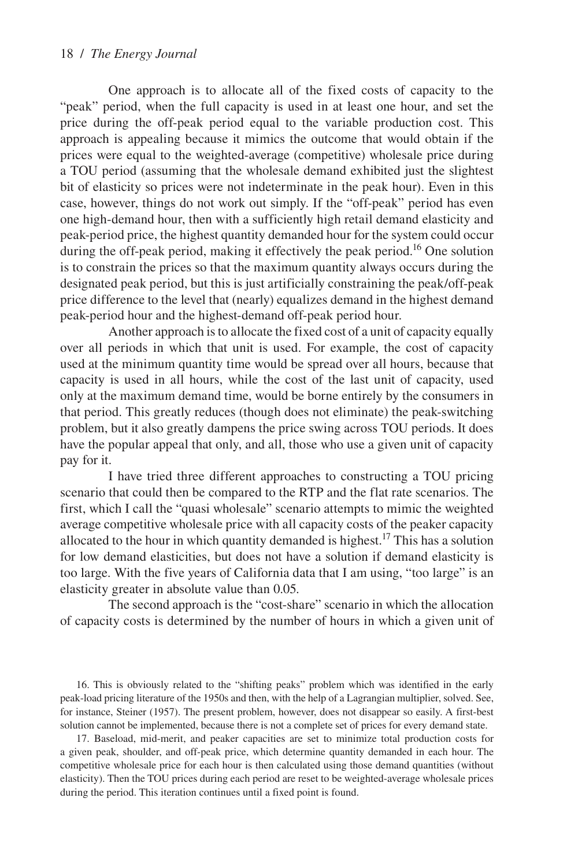One approach is to allocate all of the fixed costs of capacity to the "peak" period, when the full capacity is used in at least one hour, and set the price during the off-peak period equal to the variable production cost. This approach is appealing because it mimics the outcome that would obtain if the prices were equal to the weighted-average (competitive) wholesale price during a TOU period (assuming that the wholesale demand exhibited just the slightest bit of elasticity so prices were not indeterminate in the peak hour). Even in this case, however, things do not work out simply. If the "off-peak" period has even one high-demand hour, then with a sufficiently high retail demand elasticity and peak-period price, the highest quantity demanded hour for the system could occur during the off-peak period, making it effectively the peak period.<sup>16</sup> One solution is to constrain the prices so that the maximum quantity always occurs during the designated peak period, but this is just artificially constraining the peak/off-peak price difference to the level that (nearly) equalizes demand in the highest demand peak-period hour and the highest-demand off-peak period hour.

Another approach is to allocate the fixed cost of a unit of capacity equally over all periods in which that unit is used. For example, the cost of capacity used at the minimum quantity time would be spread over all hours, because that capacity is used in all hours, while the cost of the last unit of capacity, used only at the maximum demand time, would be borne entirely by the consumers in that period. This greatly reduces (though does not eliminate) the peak-switching problem, but it also greatly dampens the price swing across TOU periods. It does have the popular appeal that only, and all, those who use a given unit of capacity pay for it.

I have tried three different approaches to constructing a TOU pricing scenario that could then be compared to the RTP and the flat rate scenarios. The first, which I call the "quasi wholesale" scenario attempts to mimic the weighted average competitive wholesale price with all capacity costs of the peaker capacity allocated to the hour in which quantity demanded is highest.<sup>17</sup> This has a solution for low demand elasticities, but does not have a solution if demand elasticity is too large. With the five years of California data that I am using, "too large" is an elasticity greater in absolute value than 0.05.

The second approach is the "cost-share" scenario in which the allocation of capacity costs is determined by the number of hours in which a given unit of

16. This is obviously related to the "shifting peaks" problem which was identified in the early peak-load pricing literature of the 1950s and then, with the help of a Lagrangian multiplier, solved. See, for instance, Steiner (1957). The present problem, however, does not disappear so easily. A first-best solution cannot be implemented, because there is not a complete set of prices for every demand state.

17. Baseload, mid-merit, and peaker capacities are set to minimize total production costs for a given peak, shoulder, and off-peak price, which determine quantity demanded in each hour. The competitive wholesale price for each hour is then calculated using those demand quantities (without elasticity). Then the TOU prices during each period are reset to be weighted-average wholesale prices during the period. This iteration continues until a fixed point is found.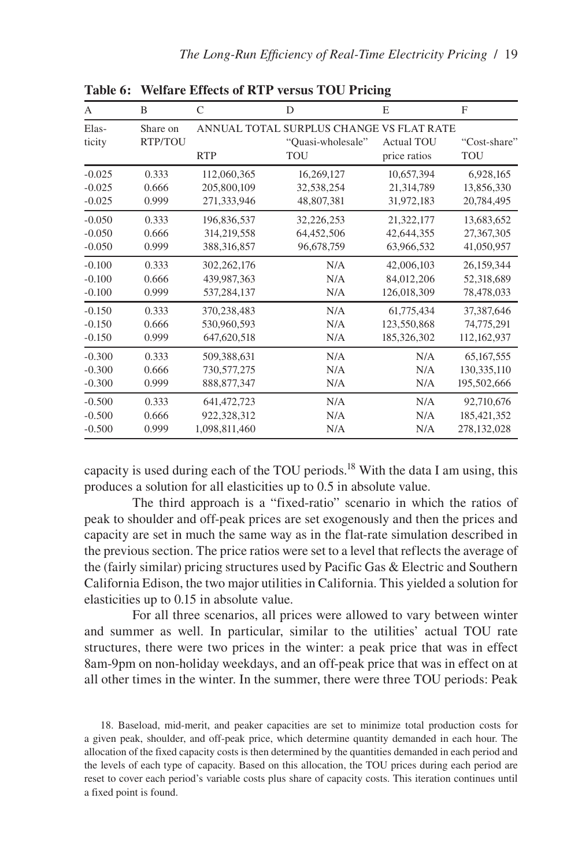| A               | B                   | $\mathsf{C}$  | D                                                                           | E                                 | F                   |
|-----------------|---------------------|---------------|-----------------------------------------------------------------------------|-----------------------------------|---------------------|
| Elas-<br>ticity | Share on<br>RTP/TOU | <b>RTP</b>    | ANNUAL TOTAL SURPLUS CHANGE VS FLAT RATE<br>"Quasi-wholesale"<br><b>TOU</b> | <b>Actual TOU</b><br>price ratios | "Cost-share"<br>TOU |
| $-0.025$        | 0.333               | 112,060,365   | 16,269,127                                                                  | 10,657,394                        | 6,928,165           |
| $-0.025$        | 0.666               | 205,800,109   | 32,538,254                                                                  | 21,314,789                        | 13,856,330          |
| $-0.025$        | 0.999               | 271,333,946   | 48,807,381                                                                  | 31,972,183                        | 20,784,495          |
| $-0.050$        | 0.333               | 196,836,537   | 32,226,253                                                                  | 21,322,177                        | 13,683,652          |
| $-0.050$        | 0.666               | 314,219,558   | 64,452,506                                                                  | 42,644,355                        | 27,367,305          |
| $-0.050$        | 0.999               | 388, 316, 857 | 96,678,759                                                                  | 63,966,532                        | 41,050,957          |
| $-0.100$        | 0.333               | 302, 262, 176 | N/A                                                                         | 42,006,103                        | 26,159,344          |
| $-0.100$        | 0.666               | 439,987,363   | N/A                                                                         | 84,012,206                        | 52,318,689          |
| $-0.100$        | 0.999               | 537,284,137   | N/A                                                                         | 126,018,309                       | 78,478,033          |
| $-0.150$        | 0.333               | 370,238,483   | N/A                                                                         | 61,775,434                        | 37,387,646          |
| $-0.150$        | 0.666               | 530,960,593   | N/A                                                                         | 123,550,868                       | 74,775,291          |
| $-0.150$        | 0.999               | 647,620,518   | N/A                                                                         | 185,326,302                       | 112, 162, 937       |
| $-0.300$        | 0.333               | 509.388.631   | N/A                                                                         | N/A                               | 65,167,555          |
| $-0.300$        | 0.666               | 730,577,275   | N/A                                                                         | N/A                               | 130, 335, 110       |
| $-0.300$        | 0.999               | 888, 877, 347 | N/A                                                                         | N/A                               | 195,502,666         |
| $-0.500$        | 0.333               | 641, 472, 723 | N/A                                                                         | N/A                               | 92,710,676          |
| $-0.500$        | 0.666               | 922,328,312   | N/A                                                                         | N/A                               | 185, 421, 352       |
| $-0.500$        | 0.999               | 1,098,811,460 | N/A                                                                         | N/A                               | 278,132,028         |

**Table 6: Welfare Effects of RTP versus TOU Pricing**

capacity is used during each of the TOU periods.<sup>18</sup> With the data I am using, this produces a solution for all elasticities up to 0.5 in absolute value.

The third approach is a "fixed-ratio" scenario in which the ratios of peak to shoulder and off-peak prices are set exogenously and then the prices and capacity are set in much the same way as in the flat-rate simulation described in the previous section. The price ratios were set to a level that reflects the average of the (fairly similar) pricing structures used by Pacific Gas & Electric and Southern California Edison, the two major utilities in California. This yielded a solution for elasticities up to 0.15 in absolute value.

For all three scenarios, all prices were allowed to vary between winter and summer as well. In particular, similar to the utilities' actual TOU rate structures, there were two prices in the winter: a peak price that was in effect 8am-9pm on non-holiday weekdays, and an off-peak price that was in effect on at all other times in the winter. In the summer, there were three TOU periods: Peak

18. Baseload, mid-merit, and peaker capacities are set to minimize total production costs for a given peak, shoulder, and off-peak price, which determine quantity demanded in each hour. The allocation of the fixed capacity costs is then determined by the quantities demanded in each period and the levels of each type of capacity. Based on this allocation, the TOU prices during each period are reset to cover each period's variable costs plus share of capacity costs. This iteration continues until a fixed point is found.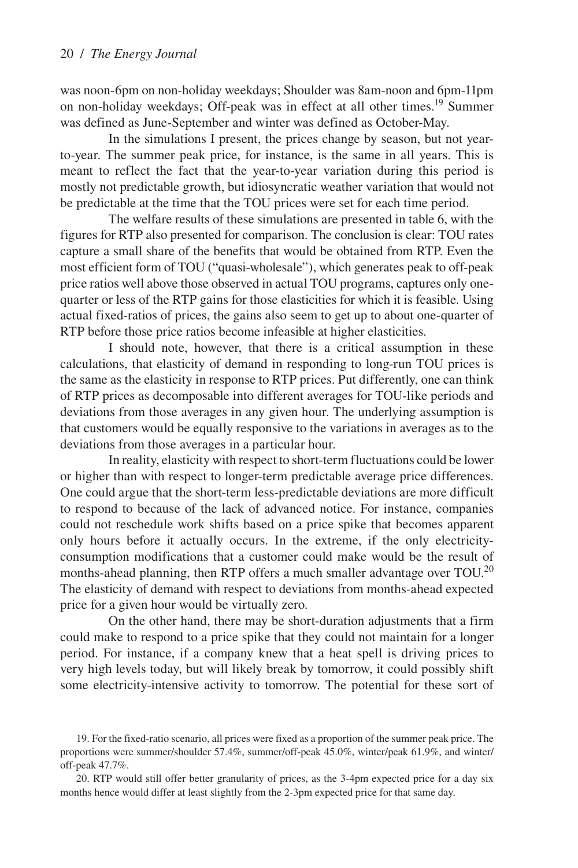was noon-6pm on non-holiday weekdays; Shoulder was 8am-noon and 6pm-11pm on non-holiday weekdays; Off-peak was in effect at all other times.<sup>19</sup> Summer was defined as June-September and winter was defined as October-May.

In the simulations I present, the prices change by season, but not yearto-year. The summer peak price, for instance, is the same in all years. This is meant to reflect the fact that the year-to-year variation during this period is mostly not predictable growth, but idiosyncratic weather variation that would not be predictable at the time that the TOU prices were set for each time period.

The welfare results of these simulations are presented in table 6, with the figures for RTP also presented for comparison. The conclusion is clear: TOU rates capture a small share of the benefits that would be obtained from RTP. Even the most efficient form of TOU ("quasi-wholesale"), which generates peak to off-peak price ratios well above those observed in actual TOU programs, captures only onequarter or less of the RTP gains for those elasticities for which it is feasible. Using actual fixed-ratios of prices, the gains also seem to get up to about one-quarter of RTP before those price ratios become infeasible at higher elasticities.

I should note, however, that there is a critical assumption in these calculations, that elasticity of demand in responding to long-run TOU prices is the same as the elasticity in response to RTP prices. Put differently, one can think of RTP prices as decomposable into different averages for TOU-like periods and deviations from those averages in any given hour. The underlying assumption is that customers would be equally responsive to the variations in averages as to the deviations from those averages in a particular hour.

In reality, elasticity with respect to short-term fluctuations could be lower or higher than with respect to longer-term predictable average price differences. One could argue that the short-term less-predictable deviations are more difficult to respond to because of the lack of advanced notice. For instance, companies could not reschedule work shifts based on a price spike that becomes apparent only hours before it actually occurs. In the extreme, if the only electricityconsumption modifications that a customer could make would be the result of months-ahead planning, then RTP offers a much smaller advantage over TOU.<sup>20</sup> The elasticity of demand with respect to deviations from months-ahead expected price for a given hour would be virtually zero.

On the other hand, there may be short-duration adjustments that a firm could make to respond to a price spike that they could not maintain for a longer period. For instance, if a company knew that a heat spell is driving prices to very high levels today, but will likely break by tomorrow, it could possibly shift some electricity-intensive activity to tomorrow. The potential for these sort of

<sup>19.</sup> For the fixed-ratio scenario, all prices were fixed as a proportion of the summer peak price. The proportions were summer/shoulder 57.4%, summer/off-peak 45.0%, winter/peak 61.9%, and winter/ off-peak 47.7%.

<sup>20.</sup> RTP would still offer better granularity of prices, as the 3-4pm expected price for a day six months hence would differ at least slightly from the 2-3pm expected price for that same day.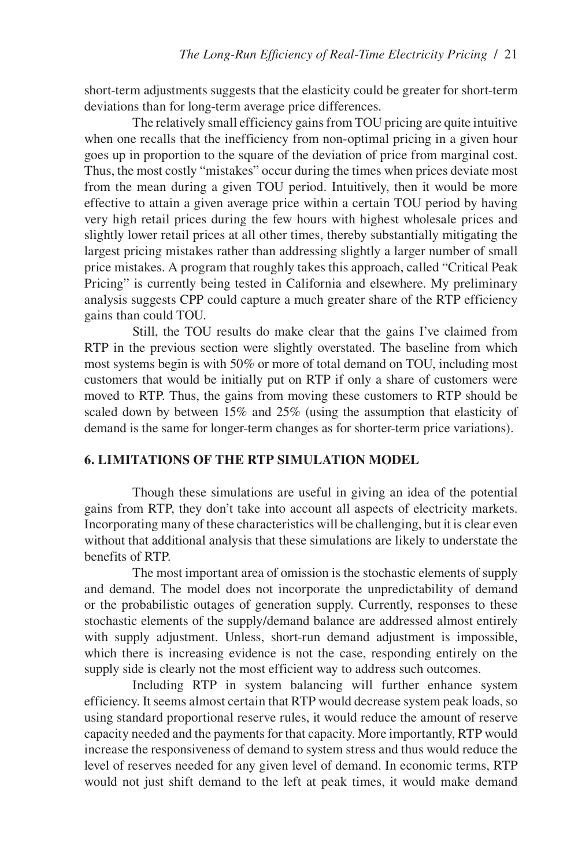short-term adjustments suggests that the elasticity could be greater for short-term deviations than for long-term average price differences.

The relatively small efficiency gains from TOU pricing are quite intuitive when one recalls that the inefficiency from non-optimal pricing in a given hour goes up in proportion to the square of the deviation of price from marginal cost. Thus, the most costly "mistakes" occur during the times when prices deviate most from the mean during a given TOU period. Intuitively, then it would be more effective to attain a given average price within a certain TOU period by having very high retail prices during the few hours with highest wholesale prices and slightly lower retail prices at all other times, thereby substantially mitigating the largest pricing mistakes rather than addressing slightly a larger number of small price mistakes. A program that roughly takes this approach, called "Critical Peak Pricing" is currently being tested in California and elsewhere. My preliminary analysis suggests CPP could capture a much greater share of the RTP efficiency gains than could TOU.

Still, the TOU results do make clear that the gains I've claimed from RTP in the previous section were slightly overstated. The baseline from which most systems begin is with 50% or more of total demand on TOU, including most customers that would be initially put on RTP if only a share of customers were moved to RTP. Thus, the gains from moving these customers to RTP should be scaled down by between 15% and 25% (using the assumption that elasticity of demand is the same for longer-term changes as for shorter-term price variations).

## **6. LIMITATIONS OF THE RTP SIMULATION MODEL**

Though these simulations are useful in giving an idea of the potential gains from RTP, they don't take into account all aspects of electricity markets. Incorporating many of these characteristics will be challenging, but it is clear even without that additional analysis that these simulations are likely to understate the benefits of RTP.

The most important area of omission is the stochastic elements of supply and demand. The model does not incorporate the unpredictability of demand or the probabilistic outages of generation supply. Currently, responses to these stochastic elements of the supply/demand balance are addressed almost entirely with supply adjustment. Unless, short-run demand adjustment is impossible, which there is increasing evidence is not the case, responding entirely on the supply side is clearly not the most efficient way to address such outcomes.

Including RTP in system balancing will further enhance system efficiency. It seems almost certain that RTP would decrease system peak loads, so using standard proportional reserve rules, it would reduce the amount of reserve capacity needed and the payments for that capacity. More importantly, RTP would increase the responsiveness of demand to system stress and thus would reduce the level of reserves needed for any given level of demand. In economic terms, RTP would not just shift demand to the left at peak times, it would make demand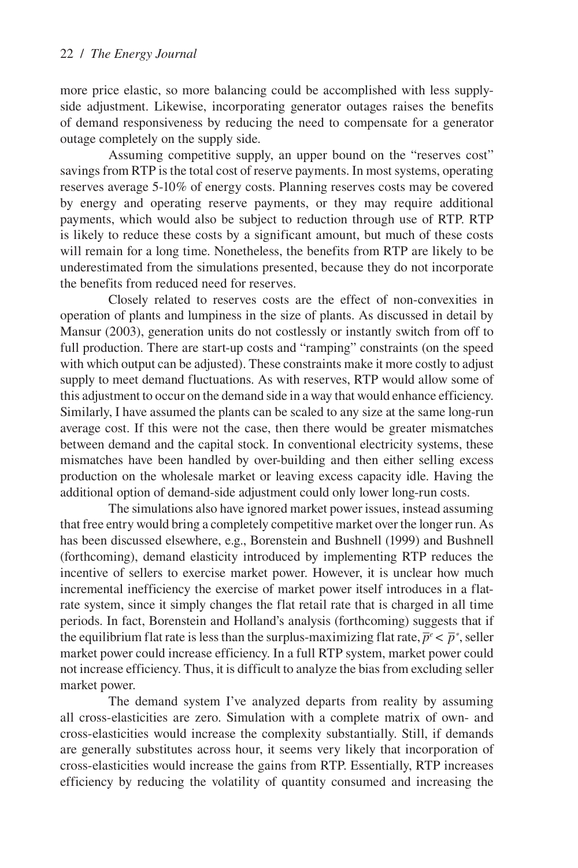more price elastic, so more balancing could be accomplished with less supplyside adjustment. Likewise, incorporating generator outages raises the benefits of demand responsiveness by reducing the need to compensate for a generator outage completely on the supply side.

Assuming competitive supply, an upper bound on the "reserves cost" savings from RTP is the total cost of reserve payments. In most systems, operating reserves average 5-10% of energy costs. Planning reserves costs may be covered by energy and operating reserve payments, or they may require additional payments, which would also be subject to reduction through use of RTP. RTP is likely to reduce these costs by a significant amount, but much of these costs will remain for a long time. Nonetheless, the benefits from RTP are likely to be underestimated from the simulations presented, because they do not incorporate the benefits from reduced need for reserves.

Closely related to reserves costs are the effect of non-convexities in operation of plants and lumpiness in the size of plants. As discussed in detail by Mansur (2003), generation units do not costlessly or instantly switch from off to full production. There are start-up costs and "ramping" constraints (on the speed with which output can be adjusted). These constraints make it more costly to adjust supply to meet demand fluctuations. As with reserves, RTP would allow some of this adjustment to occur on the demand side in a way that would enhance efficiency. Similarly, I have assumed the plants can be scaled to any size at the same long-run average cost. If this were not the case, then there would be greater mismatches between demand and the capital stock. In conventional electricity systems, these mismatches have been handled by over-building and then either selling excess production on the wholesale market or leaving excess capacity idle. Having the additional option of demand-side adjustment could only lower long-run costs.

The simulations also have ignored market power issues, instead assuming that free entry would bring a completely competitive market over the longer run. As has been discussed elsewhere, e.g., Borenstein and Bushnell (1999) and Bushnell (forthcoming), demand elasticity introduced by implementing RTP reduces the incentive of sellers to exercise market power. However, it is unclear how much incremental inefficiency the exercise of market power itself introduces in a flatrate system, since it simply changes the flat retail rate that is charged in all time periods. In fact, Borenstein and Holland's analysis (forthcoming) suggests that if the equilibrium flat rate is less than the surplus-maximizing flat rate,  $\bar{p}^e < \bar{p}^*$ , seller market power could increase efficiency. In a full RTP system, market power could not increase efficiency. Thus, it is difficult to analyze the bias from excluding seller market power.

The demand system I've analyzed departs from reality by assuming all cross-elasticities are zero. Simulation with a complete matrix of own- and cross-elasticities would increase the complexity substantially. Still, if demands are generally substitutes across hour, it seems very likely that incorporation of cross-elasticities would increase the gains from RTP. Essentially, RTP increases efficiency by reducing the volatility of quantity consumed and increasing the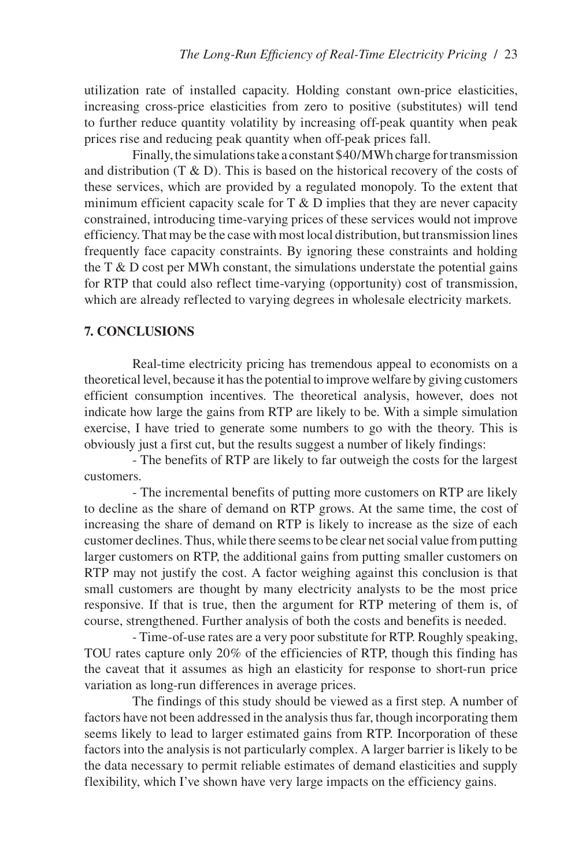utilization rate of installed capacity. Holding constant own-price elasticities, increasing cross-price elasticities from zero to positive (substitutes) will tend to further reduce quantity volatility by increasing off-peak quantity when peak prices rise and reducing peak quantity when off-peak prices fall.

Finally, the simulations take a constant \$40/MWh charge for transmission and distribution  $(T & D)$ . This is based on the historical recovery of the costs of these services, which are provided by a regulated monopoly. To the extent that minimum efficient capacity scale for  $T \& D$  implies that they are never capacity constrained, introducing time-varying prices of these services would not improve efficiency. That may be the case with most local distribution, but transmission lines frequently face capacity constraints. By ignoring these constraints and holding the  $T \& D$  cost per MWh constant, the simulations understate the potential gains for RTP that could also reflect time-varying (opportunity) cost of transmission, which are already reflected to varying degrees in wholesale electricity markets.

## **7. CONCLUSIONS**

Real-time electricity pricing has tremendous appeal to economists on a theoretical level, because it has the potential to improve welfare by giving customers efficient consumption incentives. The theoretical analysis, however, does not indicate how large the gains from RTP are likely to be. With a simple simulation exercise, I have tried to generate some numbers to go with the theory. This is obviously just a first cut, but the results suggest a number of likely findings:

- The benefits of RTP are likely to far outweigh the costs for the largest customers.

- The incremental benefits of putting more customers on RTP are likely to decline as the share of demand on RTP grows. At the same time, the cost of increasing the share of demand on RTP is likely to increase as the size of each customer declines. Thus, while there seems to be clear net social value from putting larger customers on RTP, the additional gains from putting smaller customers on RTP may not justify the cost. A factor weighing against this conclusion is that small customers are thought by many electricity analysts to be the most price responsive. If that is true, then the argument for RTP metering of them is, of course, strengthened. Further analysis of both the costs and benefits is needed.

- Time-of-use rates are a very poor substitute for RTP. Roughly speaking, TOU rates capture only 20% of the efficiencies of RTP, though this finding has the caveat that it assumes as high an elasticity for response to short-run price variation as long-run differences in average prices.

The findings of this study should be viewed as a first step. A number of factors have not been addressed in the analysis thus far, though incorporating them seems likely to lead to larger estimated gains from RTP. Incorporation of these factors into the analysis is not particularly complex. A larger barrier is likely to be the data necessary to permit reliable estimates of demand elasticities and supply flexibility, which I've shown have very large impacts on the efficiency gains.